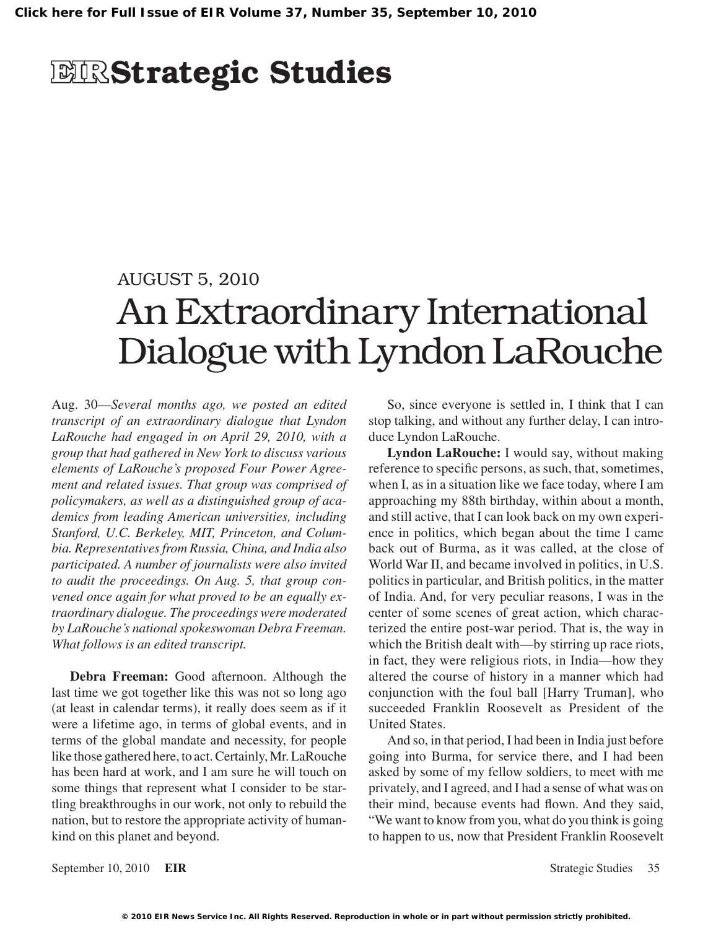# **EIR**Strategic Studies

### AUGUST 5, 2010

# An Extraordinary International Dialogue with Lyndon LaRouche

Aug. 30—*Several months ago, we posted an edited transcript of an extraordinary dialogue that Lyndon LaRouche had engaged in on April 29, 2010, with a group that had gathered in New York to discuss various elements of LaRouche's proposed Four Power Agreement and related issues. That group was comprised of policymakers, as well as a distinguished group of academics from leading American universities, including Stanford, U.C. Berkeley, MIT, Princeton, and Columbia. Representatives from Russia, China, and India also participated. A number of journalists were also invited to audit the proceedings. On Aug. 5, that group convened once again for what proved to be an equally extraordinary dialogue. The proceedings were moderated by LaRouche's national spokeswoman Debra Freeman. What follows is an edited transcript.*

**Debra Freeman:** Good afternoon. Although the last time we got together like this was not so long ago (at least in calendar terms), it really does seem as if it were a lifetime ago, in terms of global events, and in terms of the global mandate and necessity, for people like those gathered here, to act. Certainly, Mr. LaRouche has been hard at work, and I am sure he will touch on some things that represent what I consider to be startling breakthroughs in our work, not only to rebuild the nation, but to restore the appropriate activity of humankind on this planet and beyond.

So, since everyone is settled in, I think that I can stop talking, and without any further delay, I can introduce Lyndon LaRouche.

**Lyndon LaRouche:** I would say, without making reference to specific persons, as such, that, sometimes, when I, as in a situation like we face today, where I am approaching my 88th birthday, within about a month, and still active, that I can look back on my own experience in politics, which began about the time I came back out of Burma, as it was called, at the close of World War II, and became involved in politics, in U.S. politics in particular, and British politics, in the matter of India. And, for very peculiar reasons, I was in the center of some scenes of great action, which characterized the entire post-war period. That is, the way in which the British dealt with—by stirring up race riots, in fact, they were religious riots, in India—how they altered the course of history in a manner which had conjunction with the foul ball [Harry Truman], who succeeded Franklin Roosevelt as President of the United States.

And so, in that period, I had been in India just before going into Burma, for service there, and I had been asked by some of my fellow soldiers, to meet with me privately, and I agreed, and I had a sense of what was on their mind, because events had flown. And they said, "We want to know from you, what do you think is going to happen to us, now that President Franklin Roosevelt

September 10, 2010 **EIR** Strategic Studies 35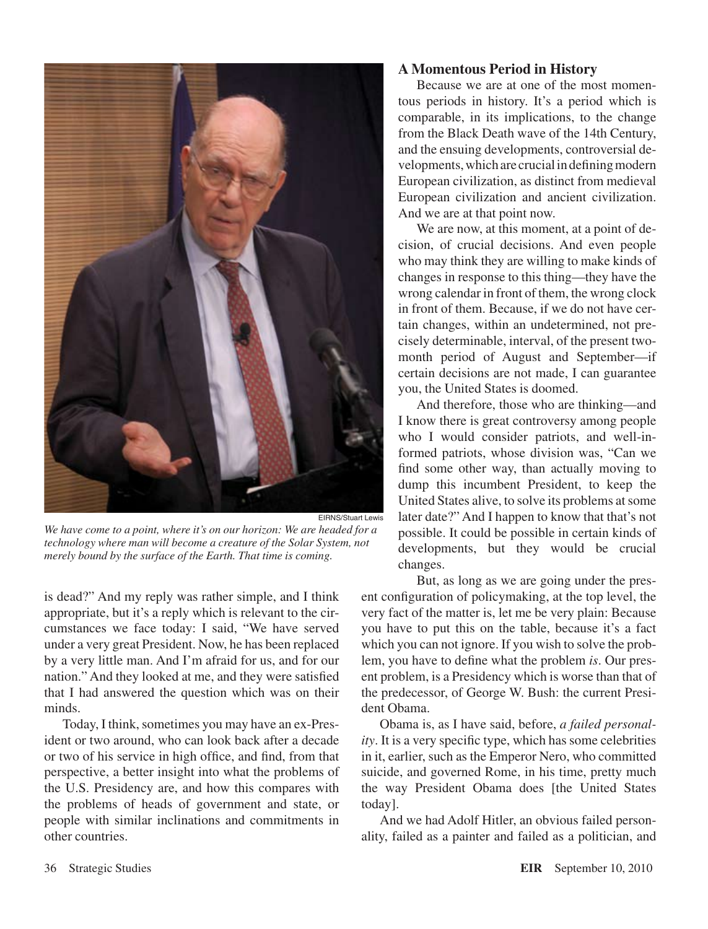

*We have come to a point, where it's on our horizon: We are headed for a technology where man will become a creature of the Solar System, not merely bound by the surface of the Earth. That time is coming.*

is dead?" And my reply was rather simple, and I think appropriate, but it's a reply which is relevant to the circumstances we face today: I said, "We have served under a very great President. Now, he has been replaced by a very little man. And I'm afraid for us, and for our nation." And they looked at me, and they were satisfied that I had answered the question which was on their minds.

Today, I think, sometimes you may have an ex-President or two around, who can look back after a decade or two of his service in high office, and find, from that perspective, a better insight into what the problems of the U.S. Presidency are, and how this compares with the problems of heads of government and state, or people with similar inclinations and commitments in other countries.

#### **A Momentous Period in History**

Because we are at one of the most momentous periods in history. It's a period which is comparable, in its implications, to the change from the Black Death wave of the 14th Century, and the ensuing developments, controversial developments, which are crucial in defining modern European civilization, as distinct from medieval European civilization and ancient civilization. And we are at that point now.

We are now, at this moment, at a point of decision, of crucial decisions. And even people who may think they are willing to make kinds of changes in response to this thing—they have the wrong calendar in front of them, the wrong clock in front of them. Because, if we do not have certain changes, within an undetermined, not precisely determinable, interval, of the present twomonth period of August and September—if certain decisions are not made, I can guarantee you, the United States is doomed.

And therefore, those who are thinking—and I know there is great controversy among people who I would consider patriots, and well-informed patriots, whose division was, "Can we find some other way, than actually moving to dump this incumbent President, to keep the United States alive, to solve its problems at some later date?" And I happen to know that that's not possible. It could be possible in certain kinds of developments, but they would be crucial changes.

But, as long as we are going under the present configuration of policymaking, at the top level, the very fact of the matter is, let me be very plain: Because you have to put this on the table, because it's a fact which you can not ignore. If you wish to solve the problem, you have to define what the problem *is*. Our present problem, is a Presidency which is worse than that of the predecessor, of George W. Bush: the current President Obama.

Obama is, as I have said, before, *a failed personality*. It is a very specific type, which has some celebrities in it, earlier, such as the Emperor Nero, who committed suicide, and governed Rome, in his time, pretty much the way President Obama does [the United States today].

And we had Adolf Hitler, an obvious failed personality, failed as a painter and failed as a politician, and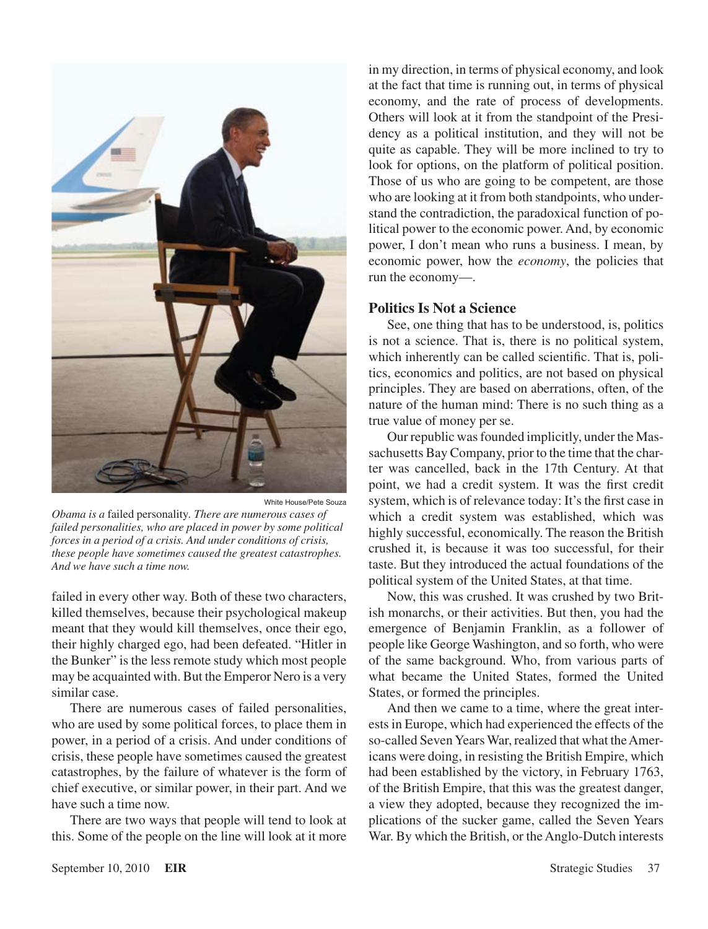

White House/Pete Souza

*Obama is a* failed personality*. There are numerous cases of failed personalities, who are placed in power by some political forces in a period of a crisis. And under conditions of crisis, these people have sometimes caused the greatest catastrophes. And we have such a time now.*

failed in every other way. Both of these two characters, killed themselves, because their psychological makeup meant that they would kill themselves, once their ego, their highly charged ego, had been defeated. "Hitler in the Bunker" is the less remote study which most people may be acquainted with. But the Emperor Nero is a very similar case.

There are numerous cases of failed personalities, who are used by some political forces, to place them in power, in a period of a crisis. And under conditions of crisis, these people have sometimes caused the greatest catastrophes, by the failure of whatever is the form of chief executive, or similar power, in their part. And we have such a time now.

There are two ways that people will tend to look at this. Some of the people on the line will look at it more

in my direction, in terms of physical economy, and look at the fact that time is running out, in terms of physical economy, and the rate of process of developments. Others will look at it from the standpoint of the Presidency as a political institution, and they will not be quite as capable. They will be more inclined to try to look for options, on the platform of political position. Those of us who are going to be competent, are those who are looking at it from both standpoints, who understand the contradiction, the paradoxical function of political power to the economic power. And, by economic power, I don't mean who runs a business. I mean, by economic power, how the *economy*, the policies that run the economy—.

#### **Politics Is Not a Science**

See, one thing that has to be understood, is, politics is not a science. That is, there is no political system, which inherently can be called scientific. That is, politics, economics and politics, are not based on physical principles. They are based on aberrations, often, of the nature of the human mind: There is no such thing as a true value of money per se.

Our republic was founded implicitly, under the Massachusetts Bay Company, prior to the time that the charter was cancelled, back in the 17th Century. At that point, we had a credit system. It was the first credit system, which is of relevance today: It's the first case in which a credit system was established, which was highly successful, economically. The reason the British crushed it, is because it was too successful, for their taste. But they introduced the actual foundations of the political system of the United States, at that time.

Now, this was crushed. It was crushed by two British monarchs, or their activities. But then, you had the emergence of Benjamin Franklin, as a follower of people like George Washington, and so forth, who were of the same background. Who, from various parts of what became the United States, formed the United States, or formed the principles.

And then we came to a time, where the great interests in Europe, which had experienced the effects of the so-called Seven Years War, realized that what the Americans were doing, in resisting the British Empire, which had been established by the victory, in February 1763, of the British Empire, that this was the greatest danger, a view they adopted, because they recognized the implications of the sucker game, called the Seven Years War. By which the British, or the Anglo-Dutch interests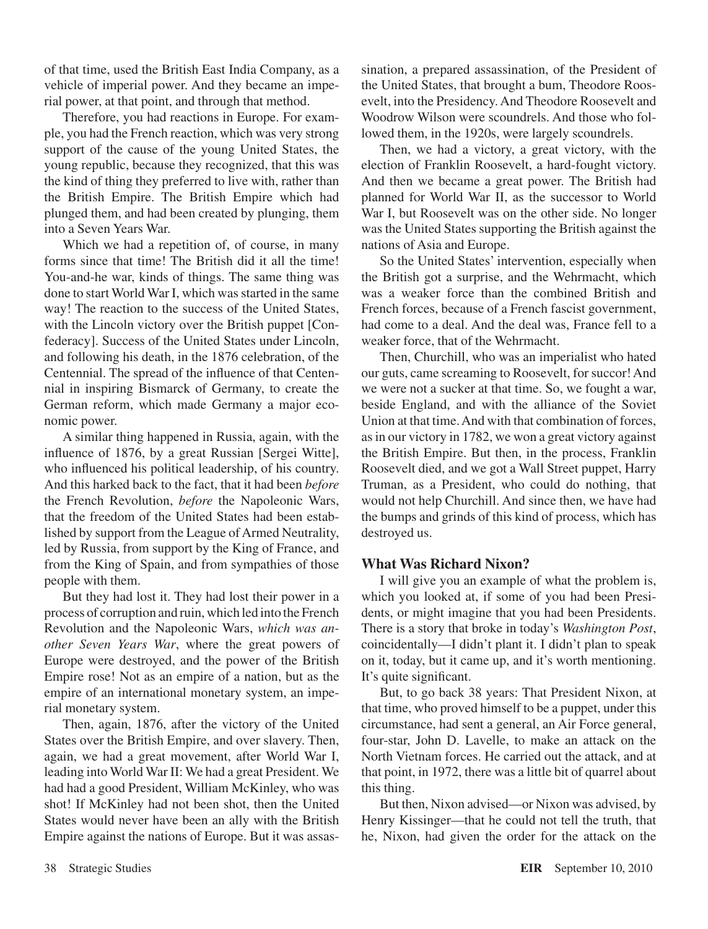of that time, used the British East India Company, as a vehicle of imperial power. And they became an imperial power, at that point, and through that method.

Therefore, you had reactions in Europe. For example, you had the French reaction, which was very strong support of the cause of the young United States, the young republic, because they recognized, that this was the kind of thing they preferred to live with, rather than the British Empire. The British Empire which had plunged them, and had been created by plunging, them into a Seven Years War.

Which we had a repetition of, of course, in many forms since that time! The British did it all the time! You-and-he war, kinds of things. The same thing was done to start World War I, which was started in the same way! The reaction to the success of the United States, with the Lincoln victory over the British puppet [Confederacy]. Success of the United States under Lincoln, and following his death, in the 1876 celebration, of the Centennial. The spread of the influence of that Centennial in inspiring Bismarck of Germany, to create the German reform, which made Germany a major economic power.

A similar thing happened in Russia, again, with the influence of 1876, by a great Russian [Sergei Witte], who influenced his political leadership, of his country. And this harked back to the fact, that it had been *before* the French Revolution, *before* the Napoleonic Wars, that the freedom of the United States had been established by support from the League of Armed Neutrality, led by Russia, from support by the King of France, and from the King of Spain, and from sympathies of those people with them.

But they had lost it. They had lost their power in a process of corruption and ruin, which led into the French Revolution and the Napoleonic Wars, *which was another Seven Years War*, where the great powers of Europe were destroyed, and the power of the British Empire rose! Not as an empire of a nation, but as the empire of an international monetary system, an imperial monetary system.

Then, again, 1876, after the victory of the United States over the British Empire, and over slavery. Then, again, we had a great movement, after World War I, leading into World War II: We had a great President. We had had a good President, William McKinley, who was shot! If McKinley had not been shot, then the United States would never have been an ally with the British Empire against the nations of Europe. But it was assassination, a prepared assassination, of the President of the United States, that brought a bum, Theodore Roosevelt, into the Presidency. And Theodore Roosevelt and Woodrow Wilson were scoundrels. And those who followed them, in the 1920s, were largely scoundrels.

Then, we had a victory, a great victory, with the election of Franklin Roosevelt, a hard-fought victory. And then we became a great power. The British had planned for World War II, as the successor to World War I, but Roosevelt was on the other side. No longer was the United States supporting the British against the nations of Asia and Europe.

So the United States' intervention, especially when the British got a surprise, and the Wehrmacht, which was a weaker force than the combined British and French forces, because of a French fascist government, had come to a deal. And the deal was, France fell to a weaker force, that of the Wehrmacht.

Then, Churchill, who was an imperialist who hated our guts, came screaming to Roosevelt, for succor! And we were not a sucker at that time. So, we fought a war, beside England, and with the alliance of the Soviet Union at that time. And with that combination of forces, as in our victory in 1782, we won a great victory against the British Empire. But then, in the process, Franklin Roosevelt died, and we got a Wall Street puppet, Harry Truman, as a President, who could do nothing, that would not help Churchill. And since then, we have had the bumps and grinds of this kind of process, which has destroyed us.

#### **What Was Richard Nixon?**

I will give you an example of what the problem is, which you looked at, if some of you had been Presidents, or might imagine that you had been Presidents. There is a story that broke in today's *Washington Post*, coincidentally—I didn't plant it. I didn't plan to speak on it, today, but it came up, and it's worth mentioning. It's quite significant.

But, to go back 38 years: That President Nixon, at that time, who proved himself to be a puppet, under this circumstance, had sent a general, an Air Force general, four-star, John D. Lavelle, to make an attack on the North Vietnam forces. He carried out the attack, and at that point, in 1972, there was a little bit of quarrel about this thing.

But then, Nixon advised—or Nixon was advised, by Henry Kissinger—that he could not tell the truth, that he, Nixon, had given the order for the attack on the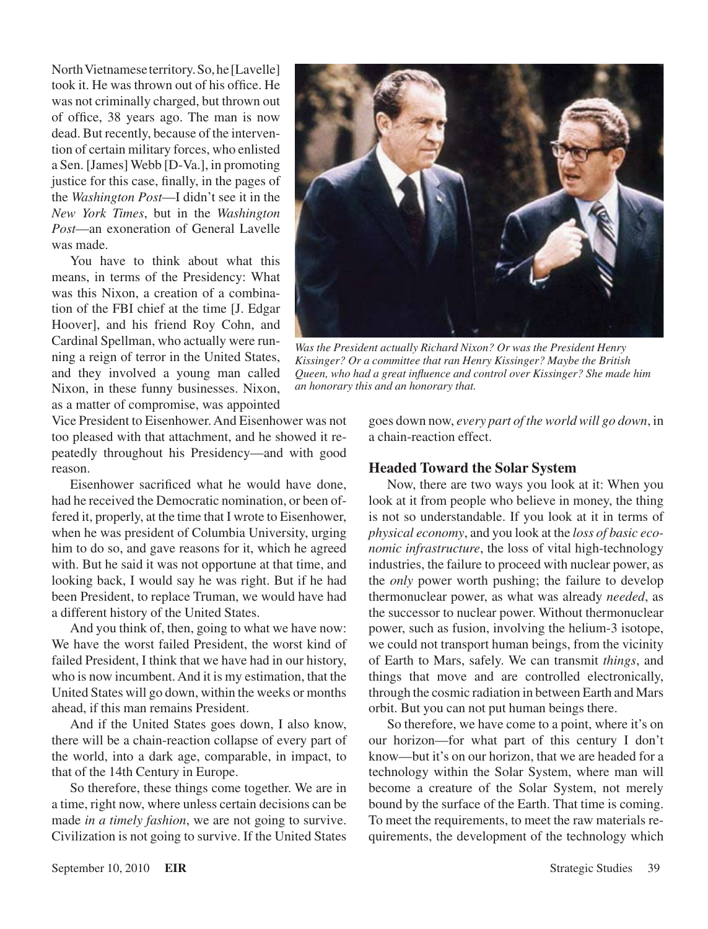North Vietnamese territory. So, he [Lavelle] took it. He was thrown out of his office. He was not criminally charged, but thrown out of office, 38 years ago. The man is now dead. But recently, because of the intervention of certain military forces, who enlisted a Sen. [James] Webb [D-Va.], in promoting justice for this case, finally, in the pages of the *Washington Post*—I didn't see it in the *New York Times*, but in the *Washington Post*—an exoneration of General Lavelle was made.

You have to think about what this means, in terms of the Presidency: What was this Nixon, a creation of a combination of the FBI chief at the time [J. Edgar Hoover], and his friend Roy Cohn, and Cardinal Spellman, who actually were running a reign of terror in the United States, and they involved a young man called Nixon, in these funny businesses. Nixon, as a matter of compromise, was appointed

Vice President to Eisenhower. And Eisenhower was not too pleased with that attachment, and he showed it repeatedly throughout his Presidency—and with good reason.

Eisenhower sacrificed what he would have done, had he received the Democratic nomination, or been offered it, properly, at the time that I wrote to Eisenhower, when he was president of Columbia University, urging him to do so, and gave reasons for it, which he agreed with. But he said it was not opportune at that time, and looking back, I would say he was right. But if he had been President, to replace Truman, we would have had a different history of the United States.

And you think of, then, going to what we have now: We have the worst failed President, the worst kind of failed President, I think that we have had in our history, who is now incumbent. And it is my estimation, that the United States will go down, within the weeks or months ahead, if this man remains President.

And if the United States goes down, I also know, there will be a chain-reaction collapse of every part of the world, into a dark age, comparable, in impact, to that of the 14th Century in Europe.

So therefore, these things come together. We are in a time, right now, where unless certain decisions can be made *in a timely fashion*, we are not going to survive. Civilization is not going to survive. If the United States



*Was the President actually Richard Nixon? Or was the President Henry Kissinger? Or a committee that ran Henry Kissinger? Maybe the British Queen, who had a great influence and control over Kissinger? She made him an honorary this and an honorary that.*

goes down now, *every part of the world will go down*, in a chain-reaction effect.

#### **Headed Toward the Solar System**

Now, there are two ways you look at it: When you look at it from people who believe in money, the thing is not so understandable. If you look at it in terms of *physical economy*, and you look at the *loss of basic economic infrastructure*, the loss of vital high-technology industries, the failure to proceed with nuclear power, as the *only* power worth pushing; the failure to develop thermonuclear power, as what was already *needed*, as the successor to nuclear power. Without thermonuclear power, such as fusion, involving the helium-3 isotope, we could not transport human beings, from the vicinity of Earth to Mars, safely. We can transmit *things*, and things that move and are controlled electronically, through the cosmic radiation in between Earth and Mars orbit. But you can not put human beings there.

So therefore, we have come to a point, where it's on our horizon—for what part of this century I don't know—but it's on our horizon, that we are headed for a technology within the Solar System, where man will become a creature of the Solar System, not merely bound by the surface of the Earth. That time is coming. To meet the requirements, to meet the raw materials requirements, the development of the technology which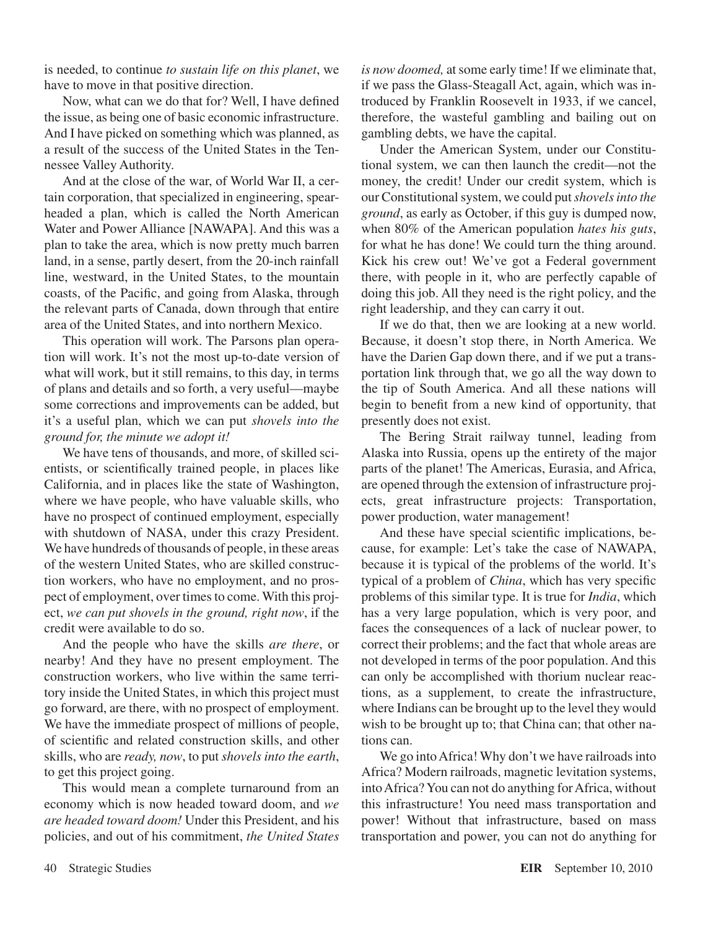is needed, to continue *to sustain life on this planet*, we have to move in that positive direction.

Now, what can we do that for? Well, I have defined the issue, as being one of basic economic infrastructure. And I have picked on something which was planned, as a result of the success of the United States in the Tennessee Valley Authority.

And at the close of the war, of World War II, a certain corporation, that specialized in engineering, spearheaded a plan, which is called the North American Water and Power Alliance [NAWAPA]. And this was a plan to take the area, which is now pretty much barren land, in a sense, partly desert, from the 20-inch rainfall line, westward, in the United States, to the mountain coasts, of the Pacific, and going from Alaska, through the relevant parts of Canada, down through that entire area of the United States, and into northern Mexico.

This operation will work. The Parsons plan operation will work. It's not the most up-to-date version of what will work, but it still remains, to this day, in terms of plans and details and so forth, a very useful—maybe some corrections and improvements can be added, but it's a useful plan, which we can put *shovels into the ground for, the minute we adopt it!*

We have tens of thousands, and more, of skilled scientists, or scientifically trained people, in places like California, and in places like the state of Washington, where we have people, who have valuable skills, who have no prospect of continued employment, especially with shutdown of NASA, under this crazy President. We have hundreds of thousands of people, in these areas of the western United States, who are skilled construction workers, who have no employment, and no prospect of employment, over times to come. With this project, *we can put shovels in the ground, right now*, if the credit were available to do so.

And the people who have the skills *are there*, or nearby! And they have no present employment. The construction workers, who live within the same territory inside the United States, in which this project must go forward, are there, with no prospect of employment. We have the immediate prospect of millions of people, of scientific and related construction skills, and other skills, who are *ready, now*, to put *shovels into the earth*, to get this project going.

This would mean a complete turnaround from an economy which is now headed toward doom, and *we are headed toward doom!* Under this President, and his policies, and out of his commitment, *the United States*  *is now doomed,* at some early time! If we eliminate that, if we pass the Glass-Steagall Act, again, which was introduced by Franklin Roosevelt in 1933, if we cancel, therefore, the wasteful gambling and bailing out on gambling debts, we have the capital.

Under the American System, under our Constitutional system, we can then launch the credit—not the money, the credit! Under our credit system, which is our Constitutional system, we could put *shovels into the ground*, as early as October, if this guy is dumped now, when 80% of the American population *hates his guts*, for what he has done! We could turn the thing around. Kick his crew out! We've got a Federal government there, with people in it, who are perfectly capable of doing this job. All they need is the right policy, and the right leadership, and they can carry it out.

If we do that, then we are looking at a new world. Because, it doesn't stop there, in North America. We have the Darien Gap down there, and if we put a transportation link through that, we go all the way down to the tip of South America. And all these nations will begin to benefit from a new kind of opportunity, that presently does not exist.

The Bering Strait railway tunnel, leading from Alaska into Russia, opens up the entirety of the major parts of the planet! The Americas, Eurasia, and Africa, are opened through the extension of infrastructure projects, great infrastructure projects: Transportation, power production, water management!

And these have special scientific implications, because, for example: Let's take the case of NAWAPA, because it is typical of the problems of the world. It's typical of a problem of *China*, which has very specific problems of this similar type. It is true for *India*, which has a very large population, which is very poor, and faces the consequences of a lack of nuclear power, to correct their problems; and the fact that whole areas are not developed in terms of the poor population. And this can only be accomplished with thorium nuclear reactions, as a supplement, to create the infrastructure, where Indians can be brought up to the level they would wish to be brought up to; that China can; that other nations can.

We go into Africa! Why don't we have railroads into Africa? Modern railroads, magnetic levitation systems, into Africa? You can not do anything for Africa, without this infrastructure! You need mass transportation and power! Without that infrastructure, based on mass transportation and power, you can not do anything for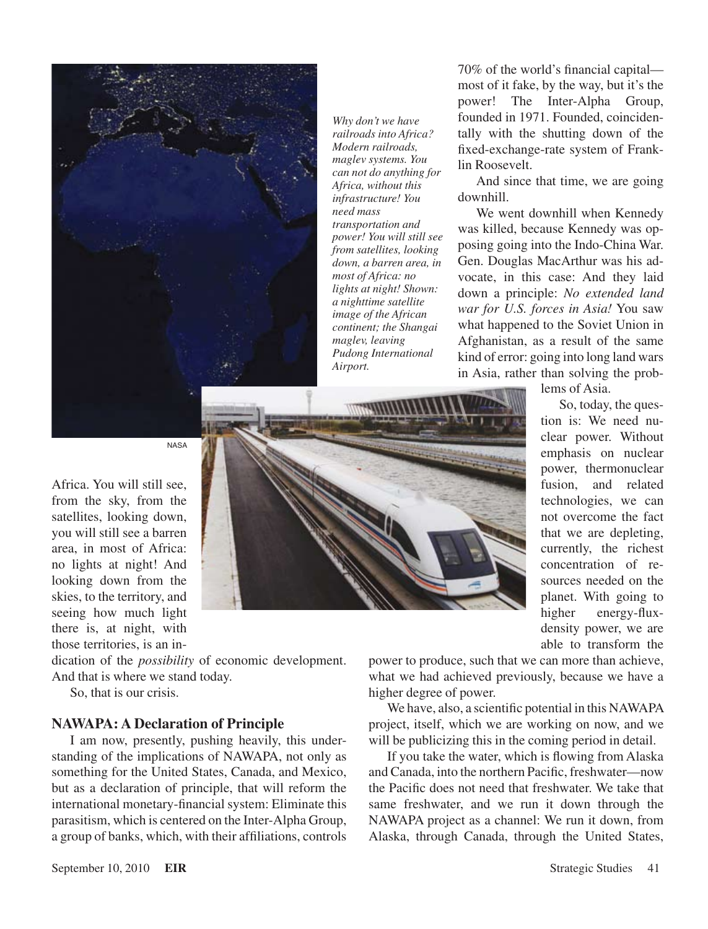

*Why don't we have railroads into Africa? Modern railroads, maglev systems. You can not do anything for Africa, without this infrastructure! You need mass transportation and power! You will still see from satellites, looking down, a barren area, in most of Africa: no lights at night! Shown: a nighttime satellite image of the African continent; the Shangai maglev, leaving Pudong International Airport.*

70% of the world's financial capital most of it fake, by the way, but it's the power! The Inter-Alpha Group, founded in 1971. Founded, coincidentally with the shutting down of the fixed-exchange-rate system of Franklin Roosevelt.

And since that time, we are going downhill.

We went downhill when Kennedy was killed, because Kennedy was opposing going into the Indo-China War. Gen. Douglas MacArthur was his advocate, in this case: And they laid down a principle: *No extended land war for U.S. forces in Asia!* You saw what happened to the Soviet Union in Afghanistan, as a result of the same kind of error: going into long land wars in Asia, rather than solving the prob-

NASA

Africa. You will still see, from the sky, from the satellites, looking down, you will still see a barren area, in most of Africa: no lights at night! And looking down from the skies, to the territory, and seeing how much light there is, at night, with those territories, is an in-

dication of the *possibility* of economic development. And that is where we stand today.

So, that is our crisis.

#### **NAWAPA: A Declaration of Principle**

I am now, presently, pushing heavily, this understanding of the implications of NAWAPA, not only as something for the United States, Canada, and Mexico, but as a declaration of principle, that will reform the international monetary-financial system: Eliminate this parasitism, which is centered on the Inter-Alpha Group, a group of banks, which, with their affiliations, controls



lems of Asia.

So, today, the question is: We need nuclear power. Without emphasis on nuclear power, thermonuclear fusion, and related technologies, we can not overcome the fact that we are depleting, currently, the richest concentration of resources needed on the planet. With going to higher energy-fluxdensity power, we are able to transform the

power to produce, such that we can more than achieve, what we had achieved previously, because we have a higher degree of power.

We have, also, a scientific potential in this NAWAPA project, itself, which we are working on now, and we will be publicizing this in the coming period in detail.

If you take the water, which is flowing from Alaska and Canada, into the northern Pacific, freshwater—now the Pacific does not need that freshwater. We take that same freshwater, and we run it down through the NAWAPA project as a channel: We run it down, from Alaska, through Canada, through the United States,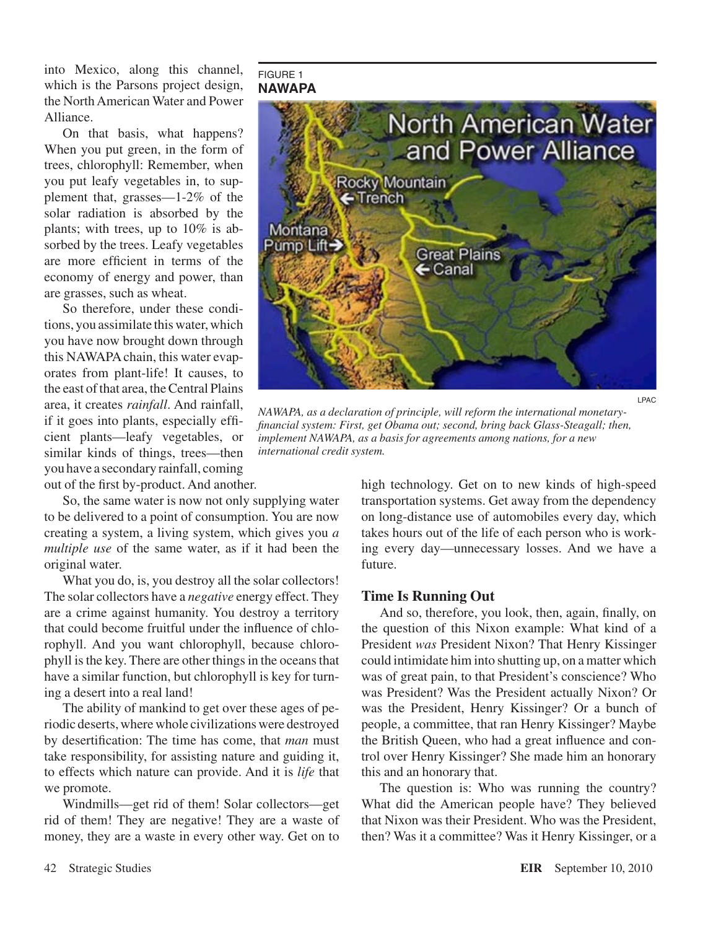into Mexico, along this channel, which is the Parsons project design, the North American Water and Power Alliance.

On that basis, what happens? When you put green, in the form of trees, chlorophyll: Remember, when you put leafy vegetables in, to supplement that, grasses—1-2% of the solar radiation is absorbed by the plants; with trees, up to 10% is absorbed by the trees. Leafy vegetables are more efficient in terms of the economy of energy and power, than are grasses, such as wheat.

So therefore, under these conditions, you assimilate this water, which you have now brought down through this NAWAPA chain, this water evaporates from plant-life! It causes, to the east of that area, the Central Plains area, it creates *rainfall*. And rainfall, if it goes into plants, especially efficient plants—leafy vegetables, or similar kinds of things, trees—then you have a secondary rainfall, coming out of the first by-product. And another.

So, the same water is now not only supplying water to be delivered to a point of consumption. You are now creating a system, a living system, which gives you *a multiple use* of the same water, as if it had been the original water.

What you do, is, you destroy all the solar collectors! The solar collectors have a *negative* energy effect. They are a crime against humanity. You destroy a territory that could become fruitful under the influence of chlorophyll. And you want chlorophyll, because chlorophyll is the key. There are other things in the oceans that have a similar function, but chlorophyll is key for turning a desert into a real land!

The ability of mankind to get over these ages of periodic deserts, where whole civilizations were destroyed by desertification: The time has come, that *man* must take responsibility, for assisting nature and guiding it, to effects which nature can provide. And it is *life* that we promote.

Windmills—get rid of them! Solar collectors—get rid of them! They are negative! They are a waste of money, they are a waste in every other way. Get on to

#### FIGURE 1 **NAWAPA**



*NAWAPA, as a declaration of principle, will reform the international monetaryfinancial system: First, get Obama out; second, bring back Glass-Steagall; then, implement NAWAPA, as a basis for agreements among nations, for a new international credit system.*

high technology. Get on to new kinds of high-speed transportation systems. Get away from the dependency on long-distance use of automobiles every day, which takes hours out of the life of each person who is working every day—unnecessary losses. And we have a future.

#### **Time Is Running Out**

And so, therefore, you look, then, again, finally, on the question of this Nixon example: What kind of a President *was* President Nixon? That Henry Kissinger could intimidate him into shutting up, on a matter which was of great pain, to that President's conscience? Who was President? Was the President actually Nixon? Or was the President, Henry Kissinger? Or a bunch of people, a committee, that ran Henry Kissinger? Maybe the British Queen, who had a great influence and control over Henry Kissinger? She made him an honorary this and an honorary that.

The question is: Who was running the country? What did the American people have? They believed that Nixon was their President. Who was the President, then? Was it a committee? Was it Henry Kissinger, or a

LPAC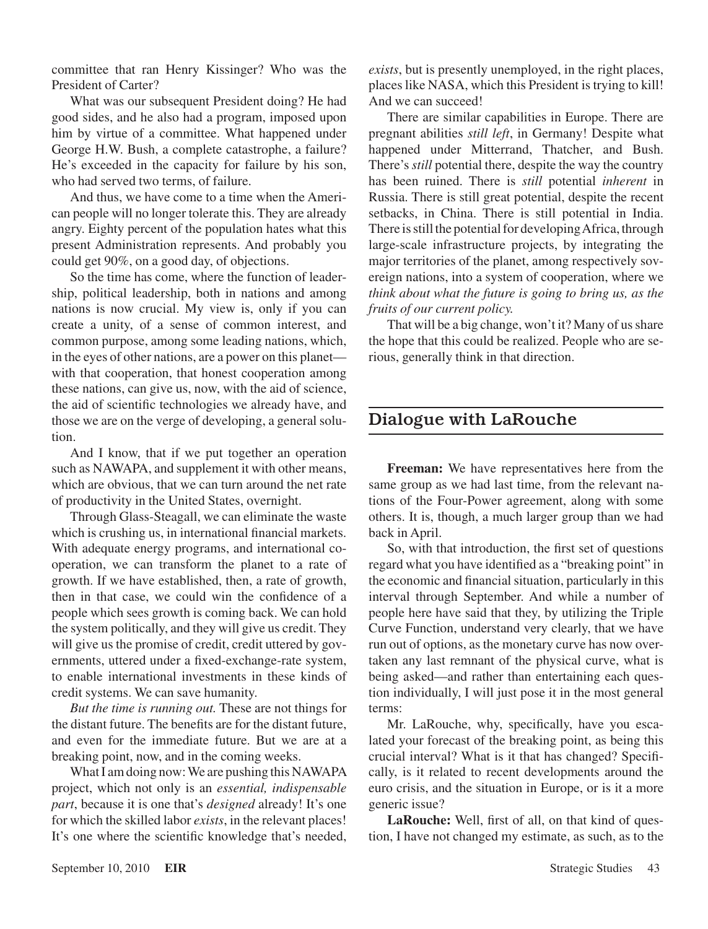committee that ran Henry Kissinger? Who was the President of Carter?

What was our subsequent President doing? He had good sides, and he also had a program, imposed upon him by virtue of a committee. What happened under George H.W. Bush, a complete catastrophe, a failure? He's exceeded in the capacity for failure by his son, who had served two terms, of failure.

And thus, we have come to a time when the American people will no longer tolerate this. They are already angry. Eighty percent of the population hates what this present Administration represents. And probably you could get 90%, on a good day, of objections.

So the time has come, where the function of leadership, political leadership, both in nations and among nations is now crucial. My view is, only if you can create a unity, of a sense of common interest, and common purpose, among some leading nations, which, in the eyes of other nations, are a power on this planet with that cooperation, that honest cooperation among these nations, can give us, now, with the aid of science, the aid of scientific technologies we already have, and those we are on the verge of developing, a general solution.

And I know, that if we put together an operation such as NAWAPA, and supplement it with other means, which are obvious, that we can turn around the net rate of productivity in the United States, overnight.

Through Glass-Steagall, we can eliminate the waste which is crushing us, in international financial markets. With adequate energy programs, and international cooperation, we can transform the planet to a rate of growth. If we have established, then, a rate of growth, then in that case, we could win the confidence of a people which sees growth is coming back. We can hold the system politically, and they will give us credit. They will give us the promise of credit, credit uttered by governments, uttered under a fixed-exchange-rate system, to enable international investments in these kinds of credit systems. We can save humanity.

*But the time is running out.* These are not things for the distant future. The benefits are for the distant future, and even for the immediate future. But we are at a breaking point, now, and in the coming weeks.

What I am doing now: We are pushing this NAWAPA project, which not only is an *essential, indispensable part*, because it is one that's *designed* already! It's one for which the skilled labor *exists*, in the relevant places! It's one where the scientific knowledge that's needed, *exists*, but is presently unemployed, in the right places, places like NASA, which this President is trying to kill! And we can succeed!

There are similar capabilities in Europe. There are pregnant abilities *still left*, in Germany! Despite what happened under Mitterrand, Thatcher, and Bush. There's *still* potential there, despite the way the country has been ruined. There is *still* potential *inherent* in Russia. There is still great potential, despite the recent setbacks, in China. There is still potential in India. There is still the potential for developing Africa, through large-scale infrastructure projects, by integrating the major territories of the planet, among respectively sovereign nations, into a system of cooperation, where we *think about what the future is going to bring us, as the fruits of our current policy.*

That will be a big change, won't it? Many of us share the hope that this could be realized. People who are serious, generally think in that direction.

## Dialogue with LaRouche

**Freeman:** We have representatives here from the same group as we had last time, from the relevant nations of the Four-Power agreement, along with some others. It is, though, a much larger group than we had back in April.

So, with that introduction, the first set of questions regard what you have identified as a "breaking point" in the economic and financial situation, particularly in this interval through September. And while a number of people here have said that they, by utilizing the Triple Curve Function, understand very clearly, that we have run out of options, as the monetary curve has now overtaken any last remnant of the physical curve, what is being asked—and rather than entertaining each question individually, I will just pose it in the most general terms:

Mr. LaRouche, why, specifically, have you escalated your forecast of the breaking point, as being this crucial interval? What is it that has changed? Specifically, is it related to recent developments around the euro crisis, and the situation in Europe, or is it a more generic issue?

**LaRouche:** Well, first of all, on that kind of question, I have not changed my estimate, as such, as to the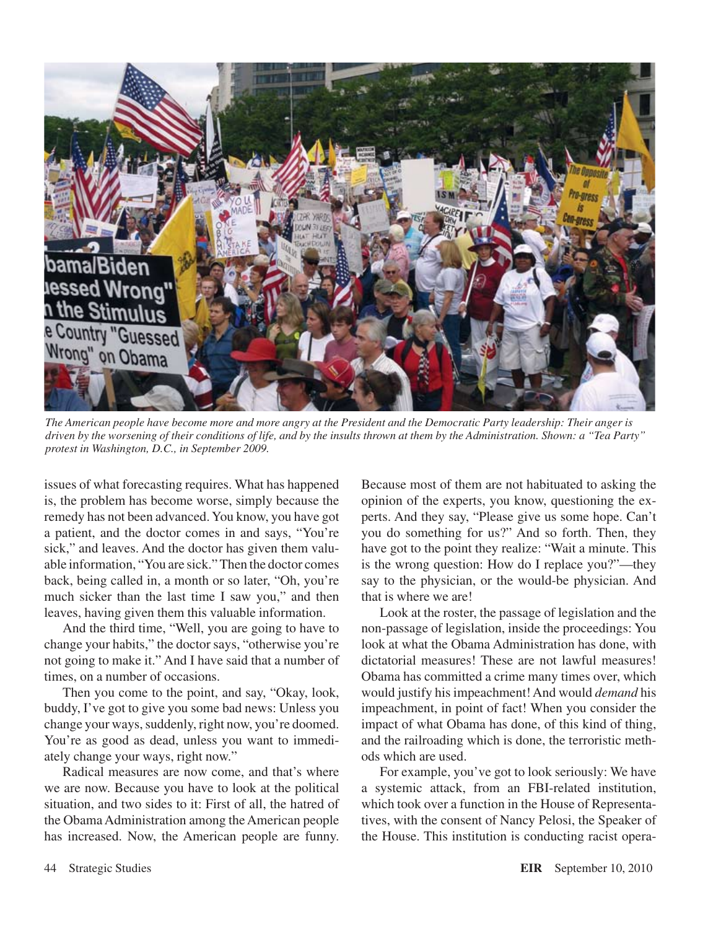

*The American people have become more and more angry at the President and the Democratic Party leadership: Their anger is driven by the worsening of their conditions of life, and by the insults thrown at them by the Administration. Shown: a "Tea Party" protest in Washington, D.C., in September 2009.*

issues of what forecasting requires. What has happened is, the problem has become worse, simply because the remedy has not been advanced. You know, you have got a patient, and the doctor comes in and says, "You're sick," and leaves. And the doctor has given them valuable information, "You are sick." Then the doctor comes back, being called in, a month or so later, "Oh, you're much sicker than the last time I saw you," and then leaves, having given them this valuable information.

And the third time, "Well, you are going to have to change your habits," the doctor says, "otherwise you're not going to make it." And I have said that a number of times, on a number of occasions.

Then you come to the point, and say, "Okay, look, buddy, I've got to give you some bad news: Unless you change your ways, suddenly, right now, you're doomed. You're as good as dead, unless you want to immediately change your ways, right now."

Radical measures are now come, and that's where we are now. Because you have to look at the political situation, and two sides to it: First of all, the hatred of the Obama Administration among the American people has increased. Now, the American people are funny.

Because most of them are not habituated to asking the opinion of the experts, you know, questioning the experts. And they say, "Please give us some hope. Can't you do something for us?" And so forth. Then, they have got to the point they realize: "Wait a minute. This is the wrong question: How do I replace you?"—they say to the physician, or the would-be physician. And that is where we are!

Look at the roster, the passage of legislation and the non-passage of legislation, inside the proceedings: You look at what the Obama Administration has done, with dictatorial measures! These are not lawful measures! Obama has committed a crime many times over, which would justify his impeachment! And would *demand* his impeachment, in point of fact! When you consider the impact of what Obama has done, of this kind of thing, and the railroading which is done, the terroristic methods which are used.

For example, you've got to look seriously: We have a systemic attack, from an FBI-related institution, which took over a function in the House of Representatives, with the consent of Nancy Pelosi, the Speaker of the House. This institution is conducting racist opera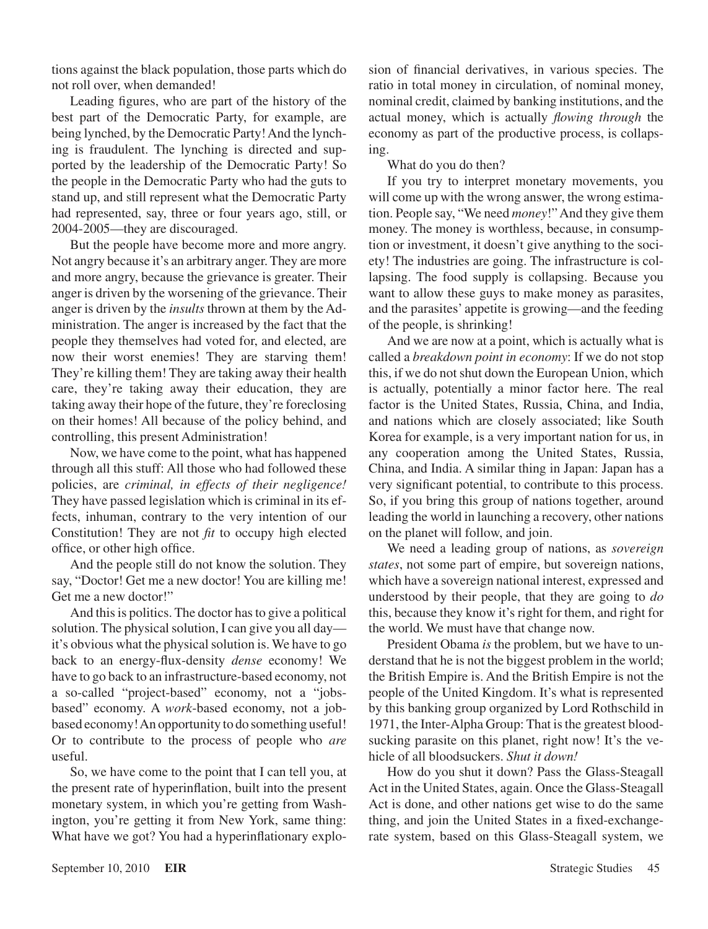tions against the black population, those parts which do not roll over, when demanded!

Leading figures, who are part of the history of the best part of the Democratic Party, for example, are being lynched, by the Democratic Party! And the lynching is fraudulent. The lynching is directed and supported by the leadership of the Democratic Party! So the people in the Democratic Party who had the guts to stand up, and still represent what the Democratic Party had represented, say, three or four years ago, still, or 2004-2005—they are discouraged.

But the people have become more and more angry. Not angry because it's an arbitrary anger. They are more and more angry, because the grievance is greater. Their anger is driven by the worsening of the grievance. Their anger is driven by the *insults* thrown at them by the Administration. The anger is increased by the fact that the people they themselves had voted for, and elected, are now their worst enemies! They are starving them! They're killing them! They are taking away their health care, they're taking away their education, they are taking away their hope of the future, they're foreclosing on their homes! All because of the policy behind, and controlling, this present Administration!

Now, we have come to the point, what has happened through all this stuff: All those who had followed these policies, are *criminal, in effects of their negligence!* They have passed legislation which is criminal in its effects, inhuman, contrary to the very intention of our Constitution! They are not *fit* to occupy high elected office, or other high office.

And the people still do not know the solution. They say, "Doctor! Get me a new doctor! You are killing me! Get me a new doctor!"

And this is politics. The doctor has to give a political solution. The physical solution, I can give you all day it's obvious what the physical solution is. We have to go back to an energy-flux-density *dense* economy! We have to go back to an infrastructure-based economy, not a so-called "project-based" economy, not a "jobsbased" economy. A *work*-based economy, not a jobbased economy! An opportunity to do something useful! Or to contribute to the process of people who *are* useful.

So, we have come to the point that I can tell you, at the present rate of hyperinflation, built into the present monetary system, in which you're getting from Washington, you're getting it from New York, same thing: What have we got? You had a hyperinflationary explosion of financial derivatives, in various species. The ratio in total money in circulation, of nominal money, nominal credit, claimed by banking institutions, and the actual money, which is actually *flowing through* the economy as part of the productive process, is collapsing.

What do you do then?

If you try to interpret monetary movements, you will come up with the wrong answer, the wrong estimation. People say, "We need *money*!" And they give them money. The money is worthless, because, in consumption or investment, it doesn't give anything to the society! The industries are going. The infrastructure is collapsing. The food supply is collapsing. Because you want to allow these guys to make money as parasites, and the parasites' appetite is growing—and the feeding of the people, is shrinking!

And we are now at a point, which is actually what is called a *breakdown point in economy*: If we do not stop this, if we do not shut down the European Union, which is actually, potentially a minor factor here. The real factor is the United States, Russia, China, and India, and nations which are closely associated; like South Korea for example, is a very important nation for us, in any cooperation among the United States, Russia, China, and India. A similar thing in Japan: Japan has a very significant potential, to contribute to this process. So, if you bring this group of nations together, around leading the world in launching a recovery, other nations on the planet will follow, and join.

We need a leading group of nations, as *sovereign states*, not some part of empire, but sovereign nations, which have a sovereign national interest, expressed and understood by their people, that they are going to *do* this, because they know it's right for them, and right for the world. We must have that change now.

President Obama *is* the problem, but we have to understand that he is not the biggest problem in the world; the British Empire is. And the British Empire is not the people of the United Kingdom. It's what is represented by this banking group organized by Lord Rothschild in 1971, the Inter-Alpha Group: That is the greatest bloodsucking parasite on this planet, right now! It's the vehicle of all bloodsuckers. *Shut it down!*

How do you shut it down? Pass the Glass-Steagall Act in the United States, again. Once the Glass-Steagall Act is done, and other nations get wise to do the same thing, and join the United States in a fixed-exchangerate system, based on this Glass-Steagall system, we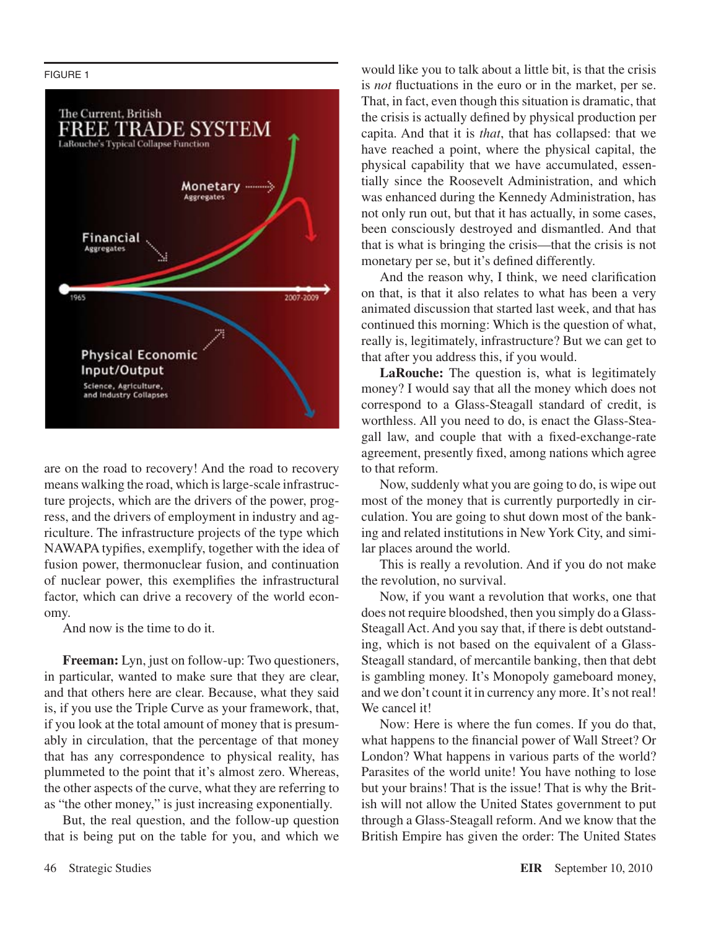#### FIGURE 1



are on the road to recovery! And the road to recovery means walking the road, which is large-scale infrastructure projects, which are the drivers of the power, progress, and the drivers of employment in industry and agriculture. The infrastructure projects of the type which NAWAPA typifies, exemplify, together with the idea of fusion power, thermonuclear fusion, and continuation of nuclear power, this exemplifies the infrastructural factor, which can drive a recovery of the world economy.

And now is the time to do it.

**Freeman:** Lyn, just on follow-up: Two questioners, in particular, wanted to make sure that they are clear, and that others here are clear. Because, what they said is, if you use the Triple Curve as your framework, that, if you look at the total amount of money that is presumably in circulation, that the percentage of that money that has any correspondence to physical reality, has plummeted to the point that it's almost zero. Whereas, the other aspects of the curve, what they are referring to as "the other money," is just increasing exponentially.

But, the real question, and the follow-up question that is being put on the table for you, and which we would like you to talk about a little bit, is that the crisis is *not* fluctuations in the euro or in the market, per se. That, in fact, even though this situation is dramatic, that the crisis is actually defined by physical production per capita. And that it is *that*, that has collapsed: that we have reached a point, where the physical capital, the physical capability that we have accumulated, essentially since the Roosevelt Administration, and which was enhanced during the Kennedy Administration, has not only run out, but that it has actually, in some cases, been consciously destroyed and dismantled. And that that is what is bringing the crisis—that the crisis is not monetary per se, but it's defined differently.

And the reason why, I think, we need clarification on that, is that it also relates to what has been a very animated discussion that started last week, and that has continued this morning: Which is the question of what, really is, legitimately, infrastructure? But we can get to that after you address this, if you would.

**LaRouche:** The question is, what is legitimately money? I would say that all the money which does not correspond to a Glass-Steagall standard of credit, is worthless. All you need to do, is enact the Glass-Steagall law, and couple that with a fixed-exchange-rate agreement, presently fixed, among nations which agree to that reform.

Now, suddenly what you are going to do, is wipe out most of the money that is currently purportedly in circulation. You are going to shut down most of the banking and related institutions in New York City, and similar places around the world.

This is really a revolution. And if you do not make the revolution, no survival.

Now, if you want a revolution that works, one that does not require bloodshed, then you simply do a Glass-Steagall Act. And you say that, if there is debt outstanding, which is not based on the equivalent of a Glass-Steagall standard, of mercantile banking, then that debt is gambling money. It's Monopoly gameboard money, and we don't count it in currency any more. It's not real! We cancel it!

Now: Here is where the fun comes. If you do that, what happens to the financial power of Wall Street? Or London? What happens in various parts of the world? Parasites of the world unite! You have nothing to lose but your brains! That is the issue! That is why the British will not allow the United States government to put through a Glass-Steagall reform. And we know that the British Empire has given the order: The United States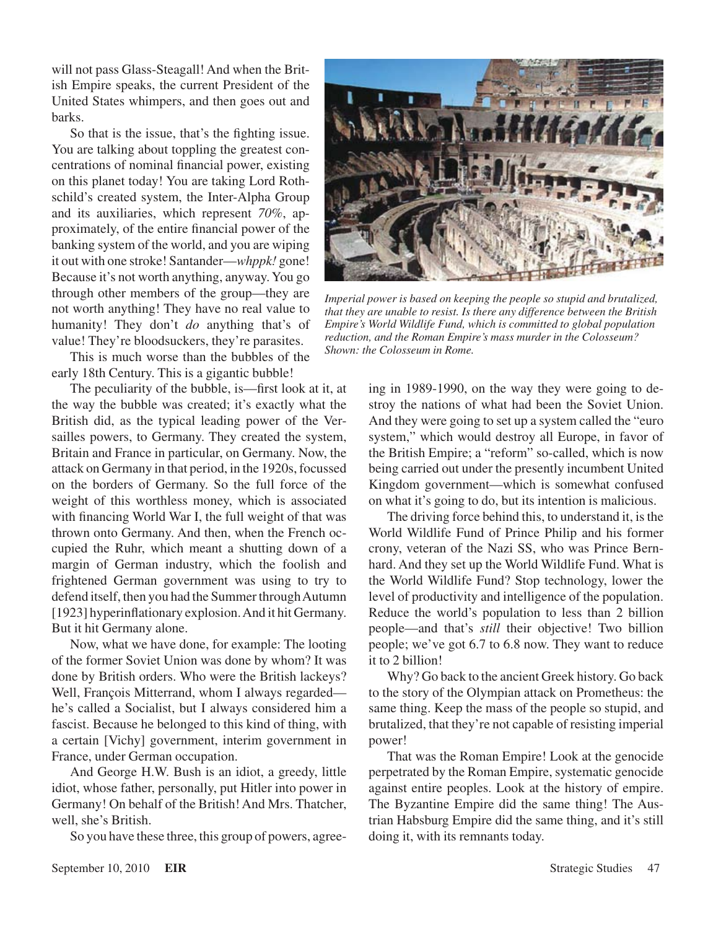will not pass Glass-Steagall! And when the British Empire speaks, the current President of the United States whimpers, and then goes out and barks.

So that is the issue, that's the fighting issue. You are talking about toppling the greatest concentrations of nominal financial power, existing on this planet today! You are taking Lord Rothschild's created system, the Inter-Alpha Group and its auxiliaries, which represent *70%*, approximately, of the entire financial power of the banking system of the world, and you are wiping it out with one stroke! Santander—*whppk!* gone! Because it's not worth anything, anyway. You go through other members of the group—they are not worth anything! They have no real value to humanity! They don't *do* anything that's of value! They're bloodsuckers, they're parasites.

This is much worse than the bubbles of the early 18th Century. This is a gigantic bubble!

The peculiarity of the bubble, is—first look at it, at the way the bubble was created; it's exactly what the British did, as the typical leading power of the Versailles powers, to Germany. They created the system, Britain and France in particular, on Germany. Now, the attack on Germany in that period, in the 1920s, focussed on the borders of Germany. So the full force of the weight of this worthless money, which is associated with financing World War I, the full weight of that was thrown onto Germany. And then, when the French occupied the Ruhr, which meant a shutting down of a margin of German industry, which the foolish and frightened German government was using to try to defend itself, then you had the Summer through Autumn [1923] hyperinflationary explosion. And it hit Germany. But it hit Germany alone.

Now, what we have done, for example: The looting of the former Soviet Union was done by whom? It was done by British orders. Who were the British lackeys? Well, François Mitterrand, whom I always regarded he's called a Socialist, but I always considered him a fascist. Because he belonged to this kind of thing, with a certain [Vichy] government, interim government in France, under German occupation.

And George H.W. Bush is an idiot, a greedy, little idiot, whose father, personally, put Hitler into power in Germany! On behalf of the British! And Mrs. Thatcher, well, she's British.

So you have these three, this group of powers, agree-



*Imperial power is based on keeping the people so stupid and brutalized, that they are unable to resist. Is there any difference between the British Empire's World Wildlife Fund, which is committed to global population reduction, and the Roman Empire's mass murder in the Colosseum? Shown: the Colosseum in Rome.*

ing in 1989-1990, on the way they were going to destroy the nations of what had been the Soviet Union. And they were going to set up a system called the "euro system," which would destroy all Europe, in favor of the British Empire; a "reform" so-called, which is now being carried out under the presently incumbent United Kingdom government—which is somewhat confused on what it's going to do, but its intention is malicious.

The driving force behind this, to understand it, is the World Wildlife Fund of Prince Philip and his former crony, veteran of the Nazi SS, who was Prince Bernhard. And they set up the World Wildlife Fund. What is the World Wildlife Fund? Stop technology, lower the level of productivity and intelligence of the population. Reduce the world's population to less than 2 billion people—and that's *still* their objective! Two billion people; we've got 6.7 to 6.8 now. They want to reduce it to 2 billion!

Why? Go back to the ancient Greek history. Go back to the story of the Olympian attack on Prometheus: the same thing. Keep the mass of the people so stupid, and brutalized, that they're not capable of resisting imperial power!

That was the Roman Empire! Look at the genocide perpetrated by the Roman Empire, systematic genocide against entire peoples. Look at the history of empire. The Byzantine Empire did the same thing! The Austrian Habsburg Empire did the same thing, and it's still doing it, with its remnants today.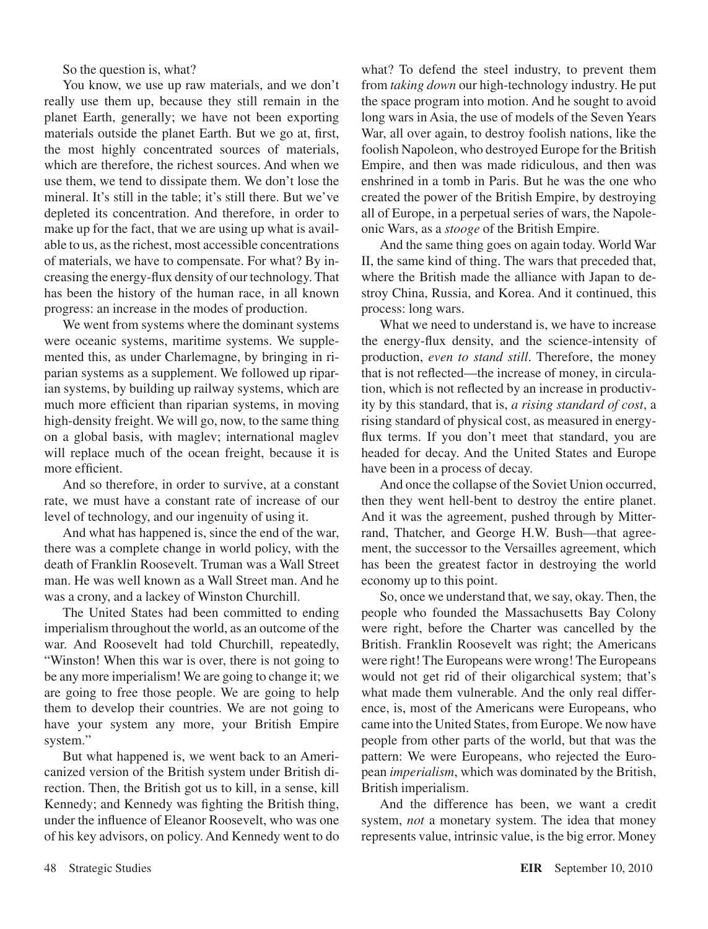So the question is, what?

You know, we use up raw materials, and we don't really use them up, because they still remain in the planet Earth, generally; we have not been exporting materials outside the planet Earth. But we go at, first, the most highly concentrated sources of materials, which are therefore, the richest sources. And when we use them, we tend to dissipate them. We don't lose the mineral. It's still in the table; it's still there. But we've depleted its concentration. And therefore, in order to make up for the fact, that we are using up what is available to us, as the richest, most accessible concentrations of materials, we have to compensate. For what? By increasing the energy-flux density of our technology. That has been the history of the human race, in all known progress: an increase in the modes of production.

We went from systems where the dominant systems were oceanic systems, maritime systems. We supplemented this, as under Charlemagne, by bringing in riparian systems as a supplement. We followed up riparian systems, by building up railway systems, which are much more efficient than riparian systems, in moving high-density freight. We will go, now, to the same thing on a global basis, with maglev; international maglev will replace much of the ocean freight, because it is more efficient.

And so therefore, in order to survive, at a constant rate, we must have a constant rate of increase of our level of technology, and our ingenuity of using it.

And what has happened is, since the end of the war, there was a complete change in world policy, with the death of Franklin Roosevelt. Truman was a Wall Street man. He was well known as a Wall Street man. And he was a crony, and a lackey of Winston Churchill.

The United States had been committed to ending imperialism throughout the world, as an outcome of the war. And Roosevelt had told Churchill, repeatedly, "Winston! When this war is over, there is not going to be any more imperialism! We are going to change it; we are going to free those people. We are going to help them to develop their countries. We are not going to have your system any more, your British Empire system."

But what happened is, we went back to an Americanized version of the British system under British direction. Then, the British got us to kill, in a sense, kill Kennedy; and Kennedy was fighting the British thing, under the influence of Eleanor Roosevelt, who was one of his key advisors, on policy. And Kennedy went to do what? To defend the steel industry, to prevent them from *taking down* our high-technology industry. He put the space program into motion. And he sought to avoid long wars in Asia, the use of models of the Seven Years War, all over again, to destroy foolish nations, like the foolish Napoleon, who destroyed Europe for the British Empire, and then was made ridiculous, and then was enshrined in a tomb in Paris. But he was the one who created the power of the British Empire, by destroying all of Europe, in a perpetual series of wars, the Napoleonic Wars, as a *stooge* of the British Empire.

And the same thing goes on again today. World War II, the same kind of thing. The wars that preceded that, where the British made the alliance with Japan to destroy China, Russia, and Korea. And it continued, this process: long wars.

What we need to understand is, we have to increase the energy-flux density, and the science-intensity of production, *even to stand still*. Therefore, the money that is not reflected—the increase of money, in circulation, which is not reflected by an increase in productivity by this standard, that is, *a rising standard of cost*, a rising standard of physical cost, as measured in energyflux terms. If you don't meet that standard, you are headed for decay. And the United States and Europe have been in a process of decay.

And once the collapse of the Soviet Union occurred, then they went hell-bent to destroy the entire planet. And it was the agreement, pushed through by Mitterrand, Thatcher, and George H.W. Bush—that agreement, the successor to the Versailles agreement, which has been the greatest factor in destroying the world economy up to this point.

So, once we understand that, we say, okay. Then, the people who founded the Massachusetts Bay Colony were right, before the Charter was cancelled by the British. Franklin Roosevelt was right; the Americans were right! The Europeans were wrong! The Europeans would not get rid of their oligarchical system; that's what made them vulnerable. And the only real difference, is, most of the Americans were Europeans, who came into the United States, from Europe. We now have people from other parts of the world, but that was the pattern: We were Europeans, who rejected the European *imperialism*, which was dominated by the British, British imperialism.

And the difference has been, we want a credit system, *not* a monetary system. The idea that money represents value, intrinsic value, is the big error. Money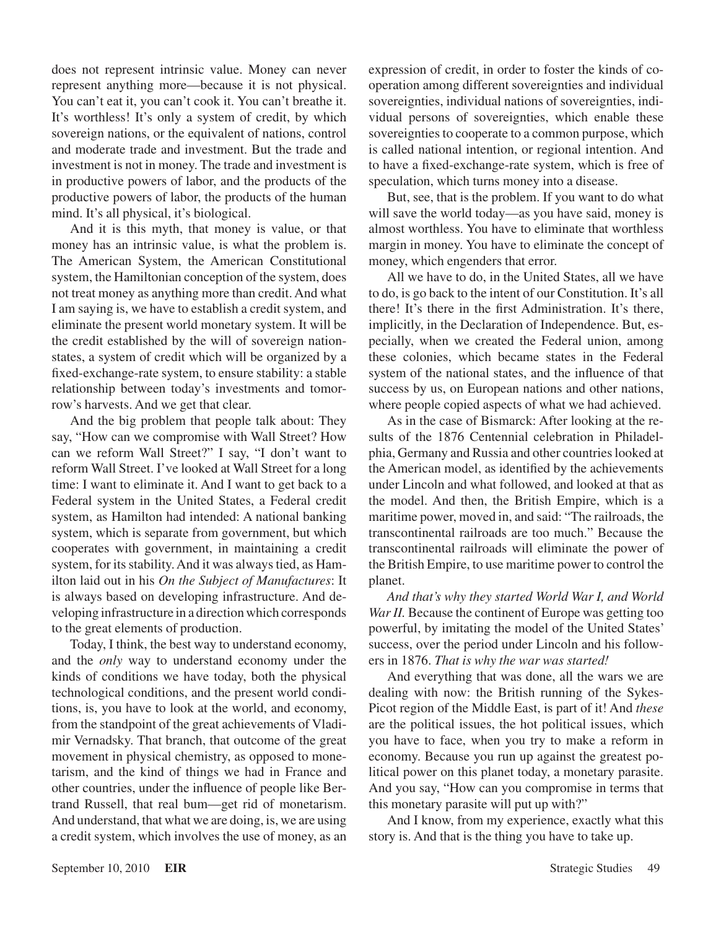does not represent intrinsic value. Money can never represent anything more—because it is not physical. You can't eat it, you can't cook it. You can't breathe it. It's worthless! It's only a system of credit, by which sovereign nations, or the equivalent of nations, control and moderate trade and investment. But the trade and investment is not in money. The trade and investment is in productive powers of labor, and the products of the productive powers of labor, the products of the human mind. It's all physical, it's biological.

And it is this myth, that money is value, or that money has an intrinsic value, is what the problem is. The American System, the American Constitutional system, the Hamiltonian conception of the system, does not treat money as anything more than credit. And what I am saying is, we have to establish a credit system, and eliminate the present world monetary system. It will be the credit established by the will of sovereign nationstates, a system of credit which will be organized by a fixed-exchange-rate system, to ensure stability: a stable relationship between today's investments and tomorrow's harvests. And we get that clear.

And the big problem that people talk about: They say, "How can we compromise with Wall Street? How can we reform Wall Street?" I say, "I don't want to reform Wall Street. I've looked at Wall Street for a long time: I want to eliminate it. And I want to get back to a Federal system in the United States, a Federal credit system, as Hamilton had intended: A national banking system, which is separate from government, but which cooperates with government, in maintaining a credit system, for its stability. And it was always tied, as Hamilton laid out in his *On the Subject of Manufactures*: It is always based on developing infrastructure. And developing infrastructure in a direction which corresponds to the great elements of production.

Today, I think, the best way to understand economy, and the *only* way to understand economy under the kinds of conditions we have today, both the physical technological conditions, and the present world conditions, is, you have to look at the world, and economy, from the standpoint of the great achievements of Vladimir Vernadsky. That branch, that outcome of the great movement in physical chemistry, as opposed to monetarism, and the kind of things we had in France and other countries, under the influence of people like Bertrand Russell, that real bum—get rid of monetarism. And understand, that what we are doing, is, we are using a credit system, which involves the use of money, as an expression of credit, in order to foster the kinds of cooperation among different sovereignties and individual sovereignties, individual nations of sovereignties, individual persons of sovereignties, which enable these sovereignties to cooperate to a common purpose, which is called national intention, or regional intention. And to have a fixed-exchange-rate system, which is free of speculation, which turns money into a disease.

But, see, that is the problem. If you want to do what will save the world today—as you have said, money is almost worthless. You have to eliminate that worthless margin in money. You have to eliminate the concept of money, which engenders that error.

All we have to do, in the United States, all we have to do, is go back to the intent of our Constitution. It's all there! It's there in the first Administration. It's there, implicitly, in the Declaration of Independence. But, especially, when we created the Federal union, among these colonies, which became states in the Federal system of the national states, and the influence of that success by us, on European nations and other nations, where people copied aspects of what we had achieved.

As in the case of Bismarck: After looking at the results of the 1876 Centennial celebration in Philadelphia, Germany and Russia and other countries looked at the American model, as identified by the achievements under Lincoln and what followed, and looked at that as the model. And then, the British Empire, which is a maritime power, moved in, and said: "The railroads, the transcontinental railroads are too much." Because the transcontinental railroads will eliminate the power of the British Empire, to use maritime power to control the planet.

*And that's why they started World War I, and World War II.* Because the continent of Europe was getting too powerful, by imitating the model of the United States' success, over the period under Lincoln and his followers in 1876. *That is why the war was started!*

And everything that was done, all the wars we are dealing with now: the British running of the Sykes-Picot region of the Middle East, is part of it! And *these* are the political issues, the hot political issues, which you have to face, when you try to make a reform in economy. Because you run up against the greatest political power on this planet today, a monetary parasite. And you say, "How can you compromise in terms that this monetary parasite will put up with?"

And I know, from my experience, exactly what this story is. And that is the thing you have to take up.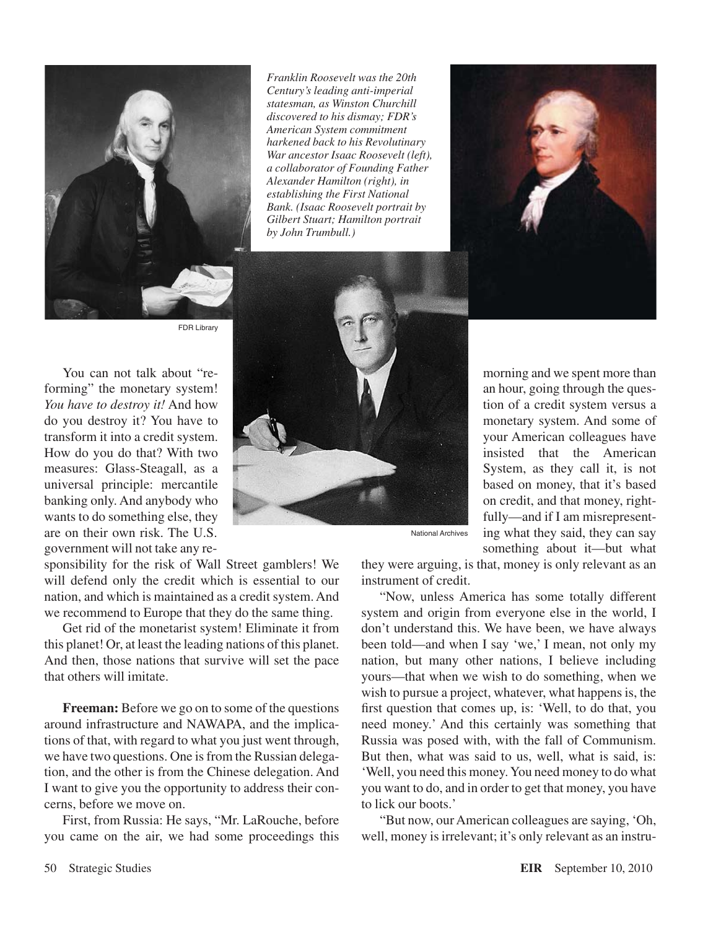

*Franklin Roosevelt was the 20th Century's leading anti-imperial statesman, as Winston Churchill discovered to his dismay; FDR's American System commitment harkened back to his Revolutinary War ancestor Isaac Roosevelt (left), a collaborator of Founding Father Alexander Hamilton (right), in establishing the First National Bank. (Isaac Roosevelt portrait by Gilbert Stuart; Hamilton portrait by John Trumbull.)*



FDR Library

You can not talk about "reforming" the monetary system! *You have to destroy it!* And how do you destroy it? You have to transform it into a credit system. How do you do that? With two measures: Glass-Steagall, as a universal principle: mercantile banking only. And anybody who wants to do something else, they are on their own risk. The U.S. government will not take any re-

sponsibility for the risk of Wall Street gamblers! We will defend only the credit which is essential to our nation, and which is maintained as a credit system. And we recommend to Europe that they do the same thing.

Get rid of the monetarist system! Eliminate it from this planet! Or, at least the leading nations of this planet. And then, those nations that survive will set the pace that others will imitate.

**Freeman:** Before we go on to some of the questions around infrastructure and NAWAPA, and the implications of that, with regard to what you just went through, we have two questions. One is from the Russian delegation, and the other is from the Chinese delegation. And I want to give you the opportunity to address their concerns, before we move on.

First, from Russia: He says, "Mr. LaRouche, before you came on the air, we had some proceedings this



morning and we spent more than an hour, going through the question of a credit system versus a monetary system. And some of your American colleagues have insisted that the American System, as they call it, is not based on money, that it's based on credit, and that money, rightfully—and if I am misrepresenting what they said, they can say something about it—but what

National Archives

they were arguing, is that, money is only relevant as an instrument of credit.

"Now, unless America has some totally different system and origin from everyone else in the world, I don't understand this. We have been, we have always been told—and when I say 'we,' I mean, not only my nation, but many other nations, I believe including yours—that when we wish to do something, when we wish to pursue a project, whatever, what happens is, the first question that comes up, is: 'Well, to do that, you need money.' And this certainly was something that Russia was posed with, with the fall of Communism. But then, what was said to us, well, what is said, is: 'Well, you need this money. You need money to do what you want to do, and in order to get that money, you have to lick our boots.'

"But now, our American colleagues are saying, 'Oh, well, money is irrelevant; it's only relevant as an instru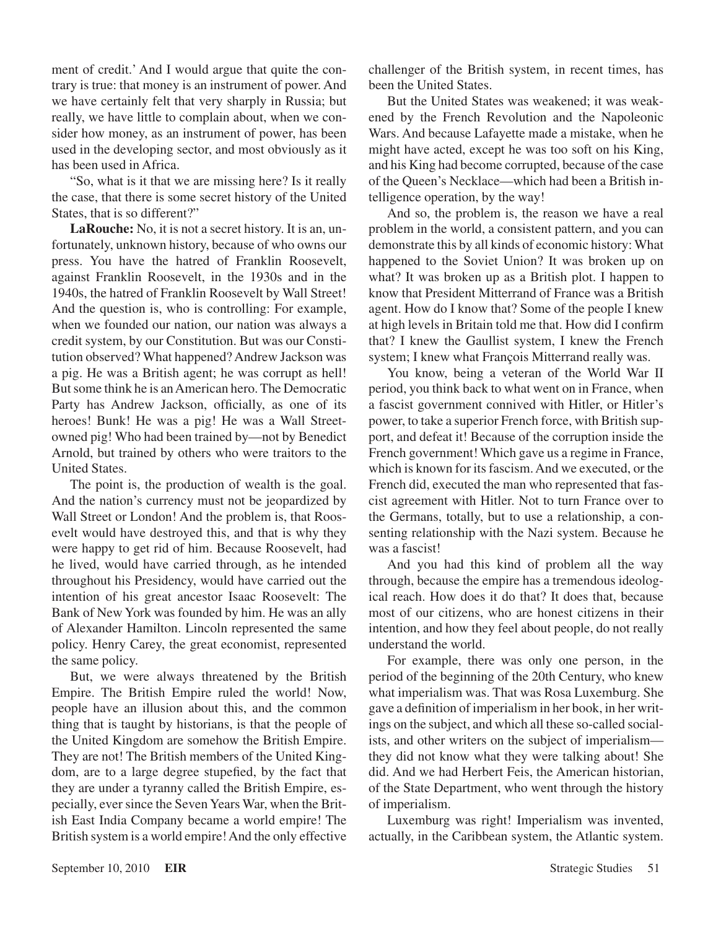ment of credit.' And I would argue that quite the contrary is true: that money is an instrument of power. And we have certainly felt that very sharply in Russia; but really, we have little to complain about, when we consider how money, as an instrument of power, has been used in the developing sector, and most obviously as it has been used in Africa.

"So, what is it that we are missing here? Is it really the case, that there is some secret history of the United States, that is so different?"

**LaRouche:** No, it is not a secret history. It is an, unfortunately, unknown history, because of who owns our press. You have the hatred of Franklin Roosevelt, against Franklin Roosevelt, in the 1930s and in the 1940s, the hatred of Franklin Roosevelt by Wall Street! And the question is, who is controlling: For example, when we founded our nation, our nation was always a credit system, by our Constitution. But was our Constitution observed? What happened? Andrew Jackson was a pig. He was a British agent; he was corrupt as hell! But some think he is an American hero. The Democratic Party has Andrew Jackson, officially, as one of its heroes! Bunk! He was a pig! He was a Wall Streetowned pig! Who had been trained by—not by Benedict Arnold, but trained by others who were traitors to the United States.

The point is, the production of wealth is the goal. And the nation's currency must not be jeopardized by Wall Street or London! And the problem is, that Roosevelt would have destroyed this, and that is why they were happy to get rid of him. Because Roosevelt, had he lived, would have carried through, as he intended throughout his Presidency, would have carried out the intention of his great ancestor Isaac Roosevelt: The Bank of New York was founded by him. He was an ally of Alexander Hamilton. Lincoln represented the same policy. Henry Carey, the great economist, represented the same policy.

But, we were always threatened by the British Empire. The British Empire ruled the world! Now, people have an illusion about this, and the common thing that is taught by historians, is that the people of the United Kingdom are somehow the British Empire. They are not! The British members of the United Kingdom, are to a large degree stupefied, by the fact that they are under a tyranny called the British Empire, especially, ever since the Seven Years War, when the British East India Company became a world empire! The British system is a world empire! And the only effective

challenger of the British system, in recent times, has been the United States.

But the United States was weakened; it was weakened by the French Revolution and the Napoleonic Wars. And because Lafayette made a mistake, when he might have acted, except he was too soft on his King, and his King had become corrupted, because of the case of the Queen's Necklace—which had been a British intelligence operation, by the way!

And so, the problem is, the reason we have a real problem in the world, a consistent pattern, and you can demonstrate this by all kinds of economic history: What happened to the Soviet Union? It was broken up on what? It was broken up as a British plot. I happen to know that President Mitterrand of France was a British agent. How do I know that? Some of the people I knew at high levels in Britain told me that. How did I confirm that? I knew the Gaullist system, I knew the French system; I knew what François Mitterrand really was.

You know, being a veteran of the World War II period, you think back to what went on in France, when a fascist government connived with Hitler, or Hitler's power, to take a superior French force, with British support, and defeat it! Because of the corruption inside the French government! Which gave us a regime in France, which is known for its fascism. And we executed, or the French did, executed the man who represented that fascist agreement with Hitler. Not to turn France over to the Germans, totally, but to use a relationship, a consenting relationship with the Nazi system. Because he was a fascist!

And you had this kind of problem all the way through, because the empire has a tremendous ideological reach. How does it do that? It does that, because most of our citizens, who are honest citizens in their intention, and how they feel about people, do not really understand the world.

For example, there was only one person, in the period of the beginning of the 20th Century, who knew what imperialism was. That was Rosa Luxemburg. She gave a definition of imperialism in her book, in her writings on the subject, and which all these so-called socialists, and other writers on the subject of imperialism they did not know what they were talking about! She did. And we had Herbert Feis, the American historian, of the State Department, who went through the history of imperialism.

Luxemburg was right! Imperialism was invented, actually, in the Caribbean system, the Atlantic system.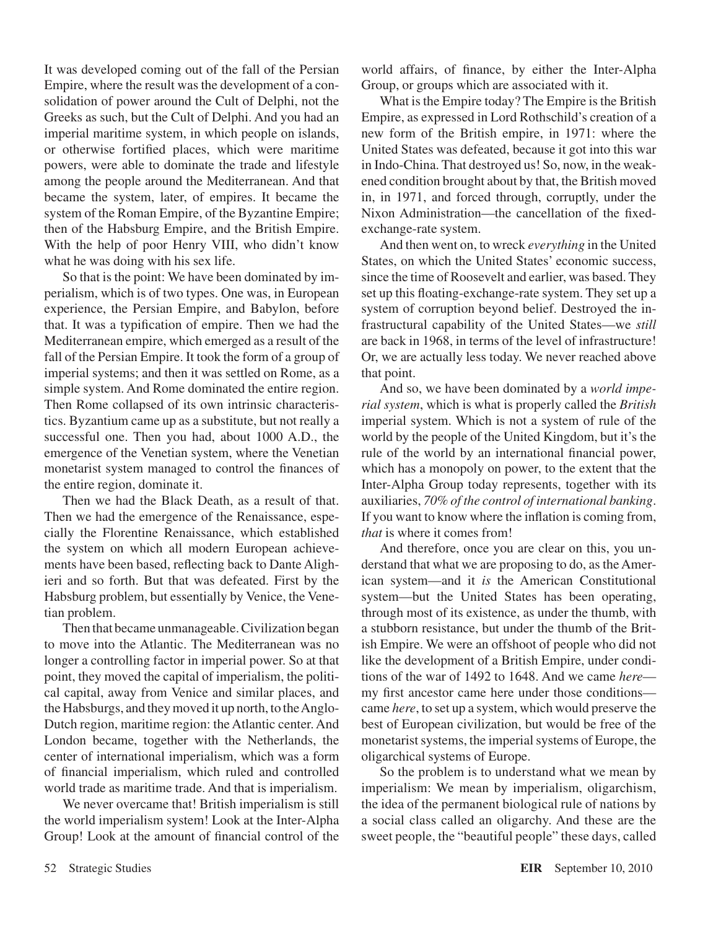It was developed coming out of the fall of the Persian Empire, where the result was the development of a consolidation of power around the Cult of Delphi, not the Greeks as such, but the Cult of Delphi. And you had an imperial maritime system, in which people on islands, or otherwise fortified places, which were maritime powers, were able to dominate the trade and lifestyle among the people around the Mediterranean. And that became the system, later, of empires. It became the system of the Roman Empire, of the Byzantine Empire; then of the Habsburg Empire, and the British Empire. With the help of poor Henry VIII, who didn't know what he was doing with his sex life.

So that is the point: We have been dominated by imperialism, which is of two types. One was, in European experience, the Persian Empire, and Babylon, before that. It was a typification of empire. Then we had the Mediterranean empire, which emerged as a result of the fall of the Persian Empire. It took the form of a group of imperial systems; and then it was settled on Rome, as a simple system. And Rome dominated the entire region. Then Rome collapsed of its own intrinsic characteristics. Byzantium came up as a substitute, but not really a successful one. Then you had, about 1000 A.D., the emergence of the Venetian system, where the Venetian monetarist system managed to control the finances of the entire region, dominate it.

Then we had the Black Death, as a result of that. Then we had the emergence of the Renaissance, especially the Florentine Renaissance, which established the system on which all modern European achievements have been based, reflecting back to Dante Alighieri and so forth. But that was defeated. First by the Habsburg problem, but essentially by Venice, the Venetian problem.

Then that became unmanageable. Civilization began to move into the Atlantic. The Mediterranean was no longer a controlling factor in imperial power. So at that point, they moved the capital of imperialism, the political capital, away from Venice and similar places, and the Habsburgs, and they moved it up north, to the Anglo-Dutch region, maritime region: the Atlantic center. And London became, together with the Netherlands, the center of international imperialism, which was a form of financial imperialism, which ruled and controlled world trade as maritime trade. And that is imperialism.

We never overcame that! British imperialism is still the world imperialism system! Look at the Inter-Alpha Group! Look at the amount of financial control of the world affairs, of finance, by either the Inter-Alpha Group, or groups which are associated with it.

What is the Empire today? The Empire is the British Empire, as expressed in Lord Rothschild's creation of a new form of the British empire, in 1971: where the United States was defeated, because it got into this war in Indo-China. That destroyed us! So, now, in the weakened condition brought about by that, the British moved in, in 1971, and forced through, corruptly, under the Nixon Administration—the cancellation of the fixedexchange-rate system.

And then went on, to wreck *everything* in the United States, on which the United States' economic success, since the time of Roosevelt and earlier, was based. They set up this floating-exchange-rate system. They set up a system of corruption beyond belief. Destroyed the infrastructural capability of the United States—we *still* are back in 1968, in terms of the level of infrastructure! Or, we are actually less today. We never reached above that point.

And so, we have been dominated by a *world imperial system*, which is what is properly called the *British* imperial system. Which is not a system of rule of the world by the people of the United Kingdom, but it's the rule of the world by an international financial power, which has a monopoly on power, to the extent that the Inter-Alpha Group today represents, together with its auxiliaries, *70% of the control of international banking*. If you want to know where the inflation is coming from, *that* is where it comes from!

And therefore, once you are clear on this, you understand that what we are proposing to do, as the American system—and it *is* the American Constitutional system—but the United States has been operating, through most of its existence, as under the thumb, with a stubborn resistance, but under the thumb of the British Empire. We were an offshoot of people who did not like the development of a British Empire, under conditions of the war of 1492 to 1648. And we came *here* my first ancestor came here under those conditions came *here*, to set up a system, which would preserve the best of European civilization, but would be free of the monetarist systems, the imperial systems of Europe, the oligarchical systems of Europe.

So the problem is to understand what we mean by imperialism: We mean by imperialism, oligarchism, the idea of the permanent biological rule of nations by a social class called an oligarchy. And these are the sweet people, the "beautiful people" these days, called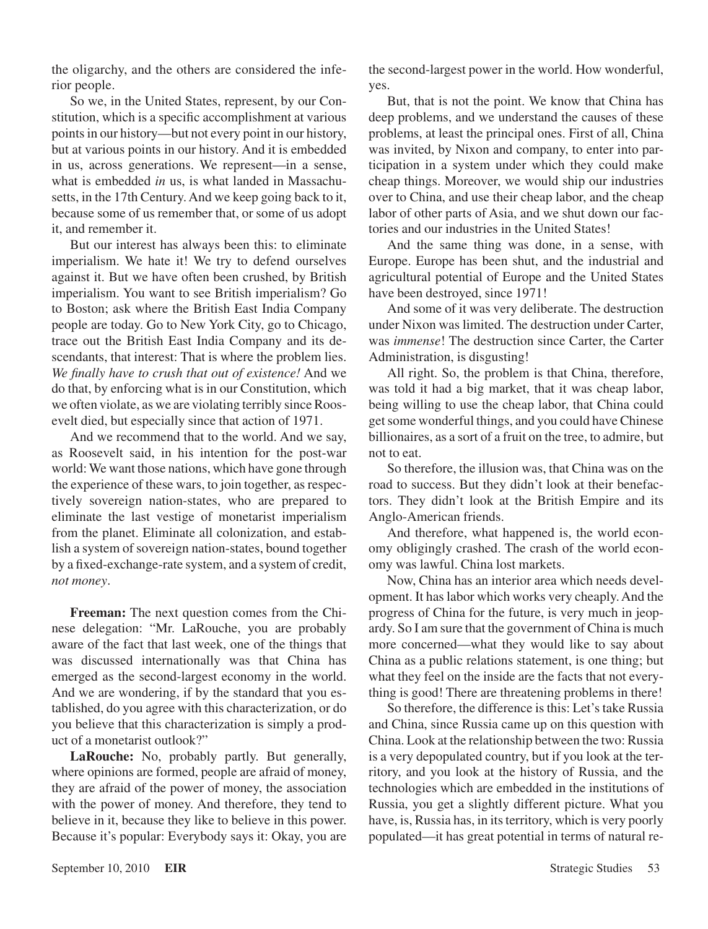the oligarchy, and the others are considered the inferior people.

So we, in the United States, represent, by our Constitution, which is a specific accomplishment at various points in our history—but not every point in our history, but at various points in our history. And it is embedded in us, across generations. We represent—in a sense, what is embedded *in* us, is what landed in Massachusetts, in the 17th Century. And we keep going back to it, because some of us remember that, or some of us adopt it, and remember it.

But our interest has always been this: to eliminate imperialism. We hate it! We try to defend ourselves against it. But we have often been crushed, by British imperialism. You want to see British imperialism? Go to Boston; ask where the British East India Company people are today. Go to New York City, go to Chicago, trace out the British East India Company and its descendants, that interest: That is where the problem lies. *We finally have to crush that out of existence!* And we do that, by enforcing what is in our Constitution, which we often violate, as we are violating terribly since Roosevelt died, but especially since that action of 1971.

And we recommend that to the world. And we say, as Roosevelt said, in his intention for the post-war world: We want those nations, which have gone through the experience of these wars, to join together, as respectively sovereign nation-states, who are prepared to eliminate the last vestige of monetarist imperialism from the planet. Eliminate all colonization, and establish a system of sovereign nation-states, bound together by a fixed-exchange-rate system, and a system of credit, *not money*.

**Freeman:** The next question comes from the Chinese delegation: "Mr. LaRouche, you are probably aware of the fact that last week, one of the things that was discussed internationally was that China has emerged as the second-largest economy in the world. And we are wondering, if by the standard that you established, do you agree with this characterization, or do you believe that this characterization is simply a product of a monetarist outlook?"

**LaRouche:** No, probably partly. But generally, where opinions are formed, people are afraid of money, they are afraid of the power of money, the association with the power of money. And therefore, they tend to believe in it, because they like to believe in this power. Because it's popular: Everybody says it: Okay, you are

the second-largest power in the world. How wonderful, yes.

But, that is not the point. We know that China has deep problems, and we understand the causes of these problems, at least the principal ones. First of all, China was invited, by Nixon and company, to enter into participation in a system under which they could make cheap things. Moreover, we would ship our industries over to China, and use their cheap labor, and the cheap labor of other parts of Asia, and we shut down our factories and our industries in the United States!

And the same thing was done, in a sense, with Europe. Europe has been shut, and the industrial and agricultural potential of Europe and the United States have been destroyed, since 1971!

And some of it was very deliberate. The destruction under Nixon was limited. The destruction under Carter, was *immense*! The destruction since Carter, the Carter Administration, is disgusting!

All right. So, the problem is that China, therefore, was told it had a big market, that it was cheap labor, being willing to use the cheap labor, that China could get some wonderful things, and you could have Chinese billionaires, as a sort of a fruit on the tree, to admire, but not to eat.

So therefore, the illusion was, that China was on the road to success. But they didn't look at their benefactors. They didn't look at the British Empire and its Anglo-American friends.

And therefore, what happened is, the world economy obligingly crashed. The crash of the world economy was lawful. China lost markets.

Now, China has an interior area which needs development. It has labor which works very cheaply. And the progress of China for the future, is very much in jeopardy. So I am sure that the government of China is much more concerned—what they would like to say about China as a public relations statement, is one thing; but what they feel on the inside are the facts that not everything is good! There are threatening problems in there!

So therefore, the difference is this: Let's take Russia and China, since Russia came up on this question with China. Look at the relationship between the two: Russia is a very depopulated country, but if you look at the territory, and you look at the history of Russia, and the technologies which are embedded in the institutions of Russia, you get a slightly different picture. What you have, is, Russia has, in its territory, which is very poorly populated—it has great potential in terms of natural re-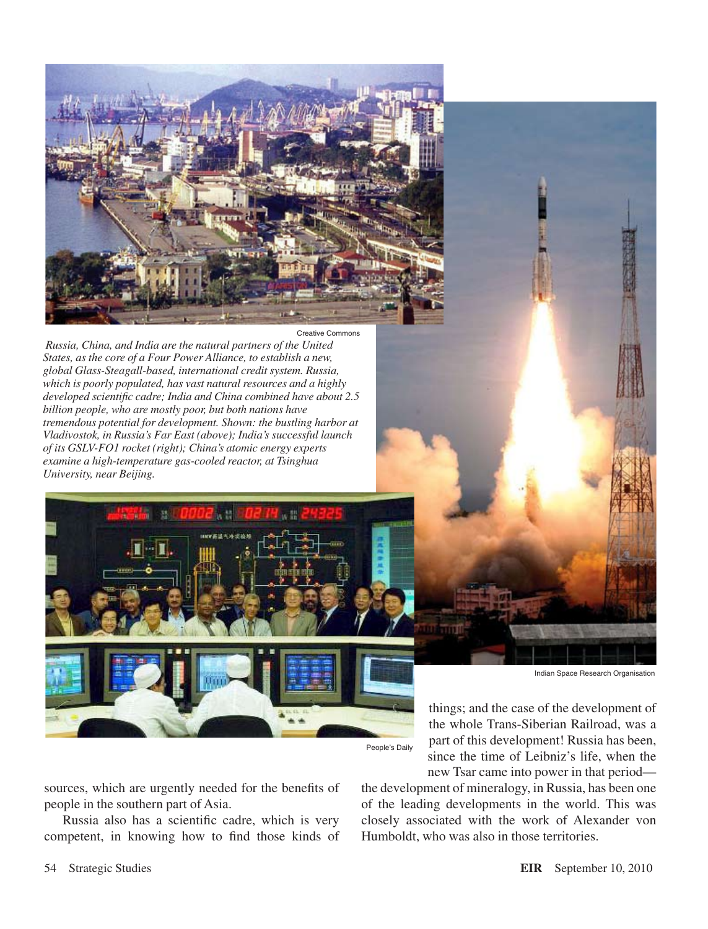

 *Russia, China, and India are the natural partners of the United States, as the core of a Four Power Alliance, to establish a new, global Glass-Steagall-based, international credit system. Russia, which is poorly populated, has vast natural resources and a highly developed scientific cadre; India and China combined have about 2.5 billion people, who are mostly poor, but both nations have tremendous potential for development. Shown: the bustling harbor at Vladivostok, in Russia's Far East (above); India's successful launch of its GSLV-FO1 rocket (right); China's atomic energy experts examine a high-temperature gas-cooled reactor, at Tsinghua University, near Beijing.*



Indian Space Research Organisation

things; and the case of the development of the whole Trans-Siberian Railroad, was a part of this development! Russia has been, since the time of Leibniz's life, when the new Tsar came into power in that period—

sources, which are urgently needed for the benefits of people in the southern part of Asia.

Russia also has a scientific cadre, which is very competent, in knowing how to find those kinds of the development of mineralogy, in Russia, has been one of the leading developments in the world. This was closely associated with the work of Alexander von Humboldt, who was also in those territories.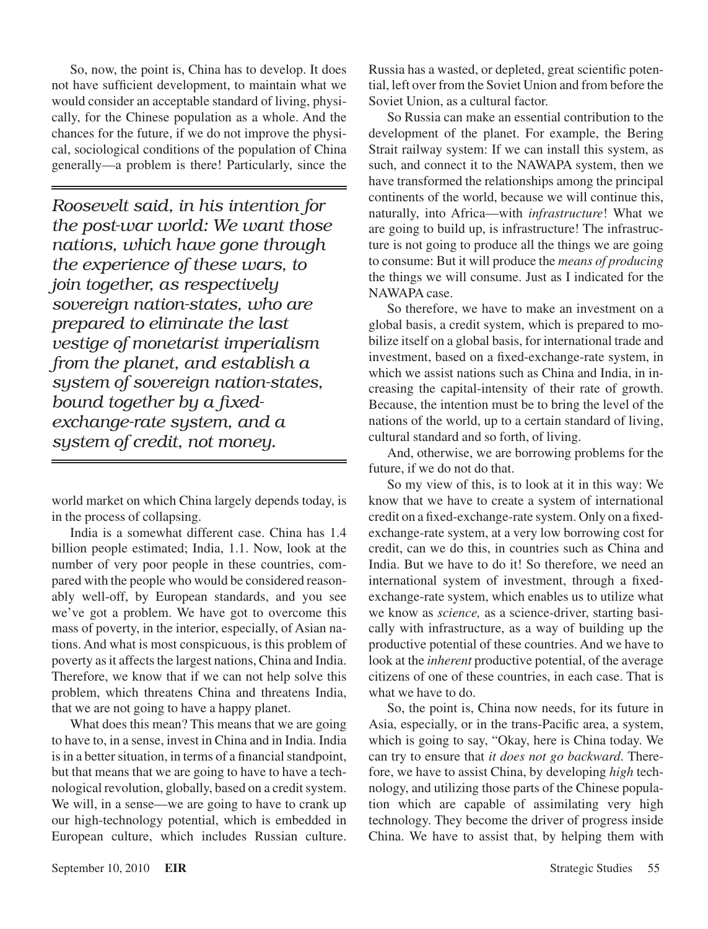So, now, the point is, China has to develop. It does not have sufficient development, to maintain what we would consider an acceptable standard of living, physically, for the Chinese population as a whole. And the chances for the future, if we do not improve the physical, sociological conditions of the population of China generally—a problem is there! Particularly, since the

*Roosevelt said, in his intention for the post-war world: We want those nations, which have gone through the experience of these wars, to join together, as respectively sovereign nation-states, who are prepared to eliminate the last vestige of monetarist imperialism from the planet, and establish a system of sovereign nation-states, bound together by a fixedexchange-rate system, and a system of credit, not money.*

world market on which China largely depends today, is in the process of collapsing.

India is a somewhat different case. China has 1.4 billion people estimated; India, 1.1. Now, look at the number of very poor people in these countries, compared with the people who would be considered reasonably well-off, by European standards, and you see we've got a problem. We have got to overcome this mass of poverty, in the interior, especially, of Asian nations. And what is most conspicuous, is this problem of poverty as it affects the largest nations, China and India. Therefore, we know that if we can not help solve this problem, which threatens China and threatens India, that we are not going to have a happy planet.

What does this mean? This means that we are going to have to, in a sense, invest in China and in India. India is in a better situation, in terms of a financial standpoint, but that means that we are going to have to have a technological revolution, globally, based on a credit system. We will, in a sense—we are going to have to crank up our high-technology potential, which is embedded in European culture, which includes Russian culture. Russia has a wasted, or depleted, great scientific potential, left over from the Soviet Union and from before the Soviet Union, as a cultural factor.

So Russia can make an essential contribution to the development of the planet. For example, the Bering Strait railway system: If we can install this system, as such, and connect it to the NAWAPA system, then we have transformed the relationships among the principal continents of the world, because we will continue this, naturally, into Africa—with *infrastructure*! What we are going to build up, is infrastructure! The infrastructure is not going to produce all the things we are going to consume: But it will produce the *means of producing* the things we will consume. Just as I indicated for the NAWAPA case.

So therefore, we have to make an investment on a global basis, a credit system, which is prepared to mobilize itself on a global basis, for international trade and investment, based on a fixed-exchange-rate system, in which we assist nations such as China and India, in increasing the capital-intensity of their rate of growth. Because, the intention must be to bring the level of the nations of the world, up to a certain standard of living, cultural standard and so forth, of living.

And, otherwise, we are borrowing problems for the future, if we do not do that.

So my view of this, is to look at it in this way: We know that we have to create a system of international credit on a fixed-exchange-rate system. Only on a fixedexchange-rate system, at a very low borrowing cost for credit, can we do this, in countries such as China and India. But we have to do it! So therefore, we need an international system of investment, through a fixedexchange-rate system, which enables us to utilize what we know as *science,* as a science-driver, starting basically with infrastructure, as a way of building up the productive potential of these countries. And we have to look at the *inherent* productive potential, of the average citizens of one of these countries, in each case. That is what we have to do.

So, the point is, China now needs, for its future in Asia, especially, or in the trans-Pacific area, a system, which is going to say, "Okay, here is China today. We can try to ensure that *it does not go backward*. Therefore, we have to assist China, by developing *high* technology, and utilizing those parts of the Chinese population which are capable of assimilating very high technology. They become the driver of progress inside China. We have to assist that, by helping them with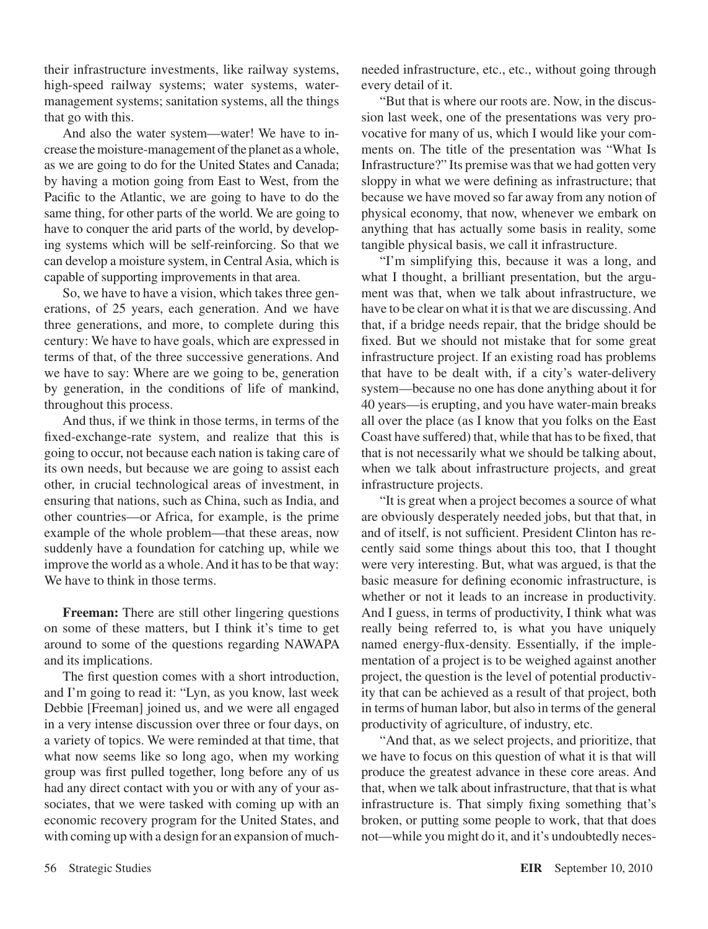their infrastructure investments, like railway systems, high-speed railway systems; water systems, watermanagement systems; sanitation systems, all the things that go with this.

And also the water system—water! We have to increase the moisture-management of the planet as a whole, as we are going to do for the United States and Canada; by having a motion going from East to West, from the Pacific to the Atlantic, we are going to have to do the same thing, for other parts of the world. We are going to have to conquer the arid parts of the world, by developing systems which will be self-reinforcing. So that we can develop a moisture system, in Central Asia, which is capable of supporting improvements in that area.

So, we have to have a vision, which takes three generations, of 25 years, each generation. And we have three generations, and more, to complete during this century: We have to have goals, which are expressed in terms of that, of the three successive generations. And we have to say: Where are we going to be, generation by generation, in the conditions of life of mankind, throughout this process.

And thus, if we think in those terms, in terms of the fixed-exchange-rate system, and realize that this is going to occur, not because each nation is taking care of its own needs, but because we are going to assist each other, in crucial technological areas of investment, in ensuring that nations, such as China, such as India, and other countries—or Africa, for example, is the prime example of the whole problem—that these areas, now suddenly have a foundation for catching up, while we improve the world as a whole. And it has to be that way: We have to think in those terms.

**Freeman:** There are still other lingering questions on some of these matters, but I think it's time to get around to some of the questions regarding NAWAPA and its implications.

The first question comes with a short introduction, and I'm going to read it: "Lyn, as you know, last week Debbie [Freeman] joined us, and we were all engaged in a very intense discussion over three or four days, on a variety of topics. We were reminded at that time, that what now seems like so long ago, when my working group was first pulled together, long before any of us had any direct contact with you or with any of your associates, that we were tasked with coming up with an economic recovery program for the United States, and with coming up with a design for an expansion of muchneeded infrastructure, etc., etc., without going through every detail of it.

"But that is where our roots are. Now, in the discussion last week, one of the presentations was very provocative for many of us, which I would like your comments on. The title of the presentation was "What Is Infrastructure?" Its premise was that we had gotten very sloppy in what we were defining as infrastructure; that because we have moved so far away from any notion of physical economy, that now, whenever we embark on anything that has actually some basis in reality, some tangible physical basis, we call it infrastructure.

"I'm simplifying this, because it was a long, and what I thought, a brilliant presentation, but the argument was that, when we talk about infrastructure, we have to be clear on what it is that we are discussing. And that, if a bridge needs repair, that the bridge should be fixed. But we should not mistake that for some great infrastructure project. If an existing road has problems that have to be dealt with, if a city's water-delivery system—because no one has done anything about it for 40 years—is erupting, and you have water-main breaks all over the place (as I know that you folks on the East Coast have suffered) that, while that has to be fixed, that that is not necessarily what we should be talking about, when we talk about infrastructure projects, and great infrastructure projects.

"It is great when a project becomes a source of what are obviously desperately needed jobs, but that that, in and of itself, is not sufficient. President Clinton has recently said some things about this too, that I thought were very interesting. But, what was argued, is that the basic measure for defining economic infrastructure, is whether or not it leads to an increase in productivity. And I guess, in terms of productivity, I think what was really being referred to, is what you have uniquely named energy-flux-density. Essentially, if the implementation of a project is to be weighed against another project, the question is the level of potential productivity that can be achieved as a result of that project, both in terms of human labor, but also in terms of the general productivity of agriculture, of industry, etc.

"And that, as we select projects, and prioritize, that we have to focus on this question of what it is that will produce the greatest advance in these core areas. And that, when we talk about infrastructure, that that is what infrastructure is. That simply fixing something that's broken, or putting some people to work, that that does not—while you might do it, and it's undoubtedly neces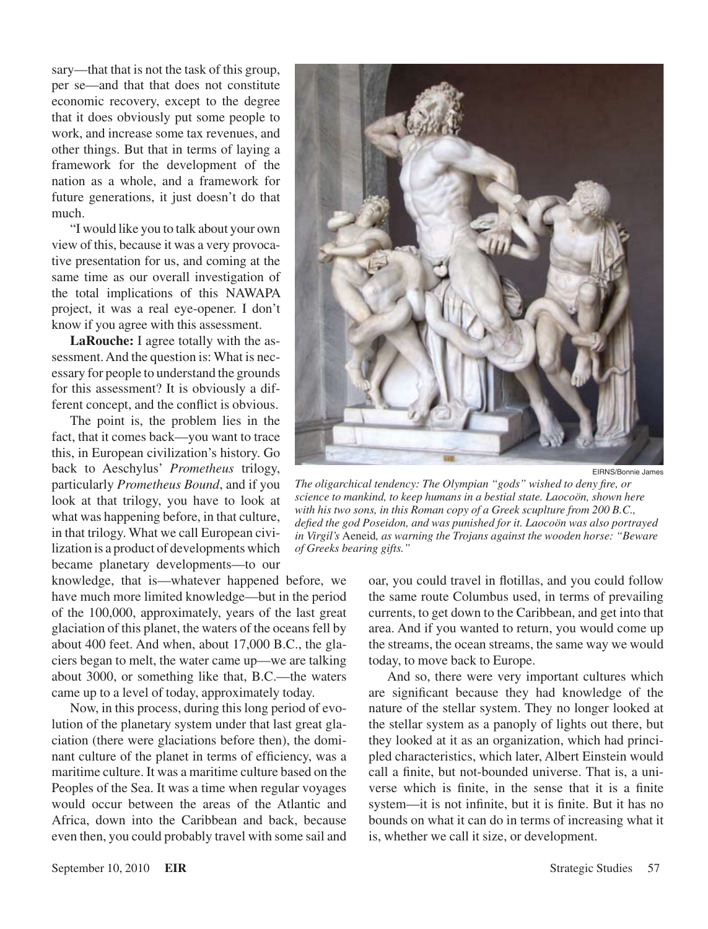sary—that that is not the task of this group, per se—and that that does not constitute economic recovery, except to the degree that it does obviously put some people to work, and increase some tax revenues, and other things. But that in terms of laying a framework for the development of the nation as a whole, and a framework for future generations, it just doesn't do that much.

"I would like you to talk about your own view of this, because it was a very provocative presentation for us, and coming at the same time as our overall investigation of the total implications of this NAWAPA project, it was a real eye-opener. I don't know if you agree with this assessment.

**LaRouche:** I agree totally with the assessment. And the question is: What is necessary for people to understand the grounds for this assessment? It is obviously a different concept, and the conflict is obvious.

The point is, the problem lies in the fact, that it comes back—you want to trace this, in European civilization's history. Go back to Aeschylus' *Prometheus* trilogy, particularly *Prometheus Bound*, and if you look at that trilogy, you have to look at what was happening before, in that culture, in that trilogy. What we call European civilization is a product of developments which became planetary developments—to our

knowledge, that is—whatever happened before, we have much more limited knowledge—but in the period of the 100,000, approximately, years of the last great glaciation of this planet, the waters of the oceans fell by about 400 feet. And when, about 17,000 B.C., the glaciers began to melt, the water came up—we are talking about 3000, or something like that, B.C.—the waters came up to a level of today, approximately today.

Now, in this process, during this long period of evolution of the planetary system under that last great glaciation (there were glaciations before then), the dominant culture of the planet in terms of efficiency, was a maritime culture. It was a maritime culture based on the Peoples of the Sea. It was a time when regular voyages would occur between the areas of the Atlantic and Africa, down into the Caribbean and back, because even then, you could probably travel with some sail and



EIRNS/Bonnie James

*The oligarchical tendency: The Olympian "gods" wished to deny fire, or science to mankind, to keep humans in a bestial state. Laocoön, shown here with his two sons, in this Roman copy of a Greek scuplture from 200 B.C., defied the god Poseidon, and was punished for it. Laocoön was also portrayed in Virgil's* Aeneid*, as warning the Trojans against the wooden horse: "Beware of Greeks bearing gifts."*

oar, you could travel in flotillas, and you could follow the same route Columbus used, in terms of prevailing currents, to get down to the Caribbean, and get into that area. And if you wanted to return, you would come up the streams, the ocean streams, the same way we would today, to move back to Europe.

And so, there were very important cultures which are significant because they had knowledge of the nature of the stellar system. They no longer looked at the stellar system as a panoply of lights out there, but they looked at it as an organization, which had principled characteristics, which later, Albert Einstein would call a finite, but not-bounded universe. That is, a universe which is finite, in the sense that it is a finite system—it is not infinite, but it is finite. But it has no bounds on what it can do in terms of increasing what it is, whether we call it size, or development.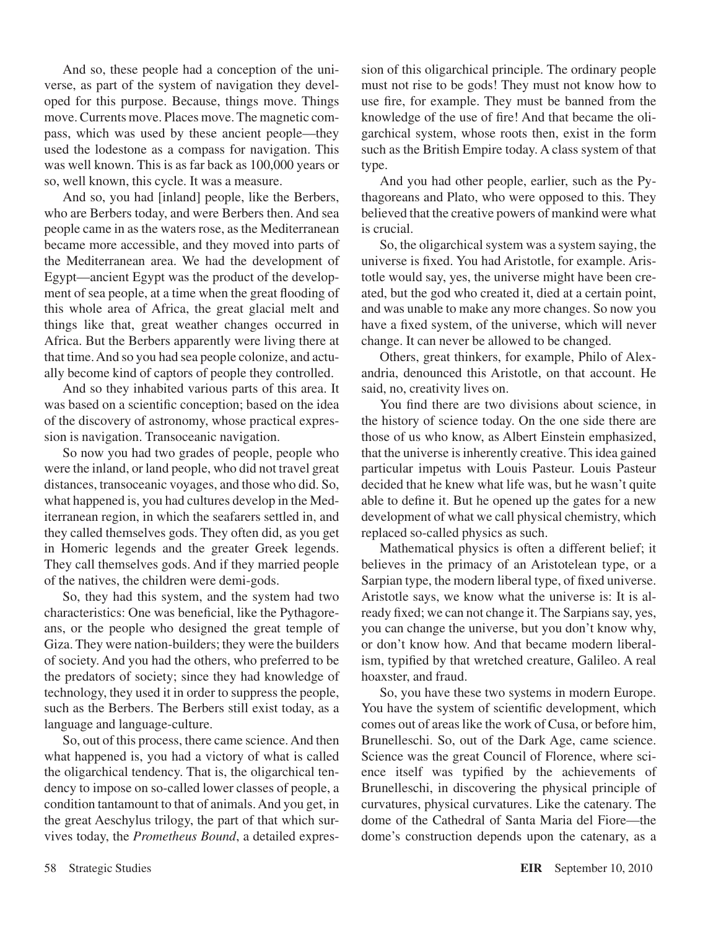And so, these people had a conception of the universe, as part of the system of navigation they developed for this purpose. Because, things move. Things move. Currents move. Places move. The magnetic compass, which was used by these ancient people—they used the lodestone as a compass for navigation. This was well known. This is as far back as 100,000 years or so, well known, this cycle. It was a measure.

And so, you had [inland] people, like the Berbers, who are Berbers today, and were Berbers then. And sea people came in as the waters rose, as the Mediterranean became more accessible, and they moved into parts of the Mediterranean area. We had the development of Egypt—ancient Egypt was the product of the development of sea people, at a time when the great flooding of this whole area of Africa, the great glacial melt and things like that, great weather changes occurred in Africa. But the Berbers apparently were living there at that time. And so you had sea people colonize, and actually become kind of captors of people they controlled.

And so they inhabited various parts of this area. It was based on a scientific conception; based on the idea of the discovery of astronomy, whose practical expression is navigation. Transoceanic navigation.

So now you had two grades of people, people who were the inland, or land people, who did not travel great distances, transoceanic voyages, and those who did. So, what happened is, you had cultures develop in the Mediterranean region, in which the seafarers settled in, and they called themselves gods. They often did, as you get in Homeric legends and the greater Greek legends. They call themselves gods. And if they married people of the natives, the children were demi-gods.

So, they had this system, and the system had two characteristics: One was beneficial, like the Pythagoreans, or the people who designed the great temple of Giza. They were nation-builders; they were the builders of society. And you had the others, who preferred to be the predators of society; since they had knowledge of technology, they used it in order to suppress the people, such as the Berbers. The Berbers still exist today, as a language and language-culture.

So, out of this process, there came science. And then what happened is, you had a victory of what is called the oligarchical tendency. That is, the oligarchical tendency to impose on so-called lower classes of people, a condition tantamount to that of animals. And you get, in the great Aeschylus trilogy, the part of that which survives today, the *Prometheus Bound*, a detailed expression of this oligarchical principle. The ordinary people must not rise to be gods! They must not know how to use fire, for example. They must be banned from the knowledge of the use of fire! And that became the oligarchical system, whose roots then, exist in the form such as the British Empire today. A class system of that type.

And you had other people, earlier, such as the Pythagoreans and Plato, who were opposed to this. They believed that the creative powers of mankind were what is crucial.

So, the oligarchical system was a system saying, the universe is fixed. You had Aristotle, for example. Aristotle would say, yes, the universe might have been created, but the god who created it, died at a certain point, and was unable to make any more changes. So now you have a fixed system, of the universe, which will never change. It can never be allowed to be changed.

Others, great thinkers, for example, Philo of Alexandria, denounced this Aristotle, on that account. He said, no, creativity lives on.

You find there are two divisions about science, in the history of science today. On the one side there are those of us who know, as Albert Einstein emphasized, that the universe is inherently creative. This idea gained particular impetus with Louis Pasteur. Louis Pasteur decided that he knew what life was, but he wasn't quite able to define it. But he opened up the gates for a new development of what we call physical chemistry, which replaced so-called physics as such.

Mathematical physics is often a different belief; it believes in the primacy of an Aristotelean type, or a Sarpian type, the modern liberal type, of fixed universe. Aristotle says, we know what the universe is: It is already fixed; we can not change it. The Sarpians say, yes, you can change the universe, but you don't know why, or don't know how. And that became modern liberalism, typified by that wretched creature, Galileo. A real hoaxster, and fraud.

So, you have these two systems in modern Europe. You have the system of scientific development, which comes out of areas like the work of Cusa, or before him, Brunelleschi. So, out of the Dark Age, came science. Science was the great Council of Florence, where science itself was typified by the achievements of Brunelleschi, in discovering the physical principle of curvatures, physical curvatures. Like the catenary. The dome of the Cathedral of Santa Maria del Fiore—the dome's construction depends upon the catenary, as a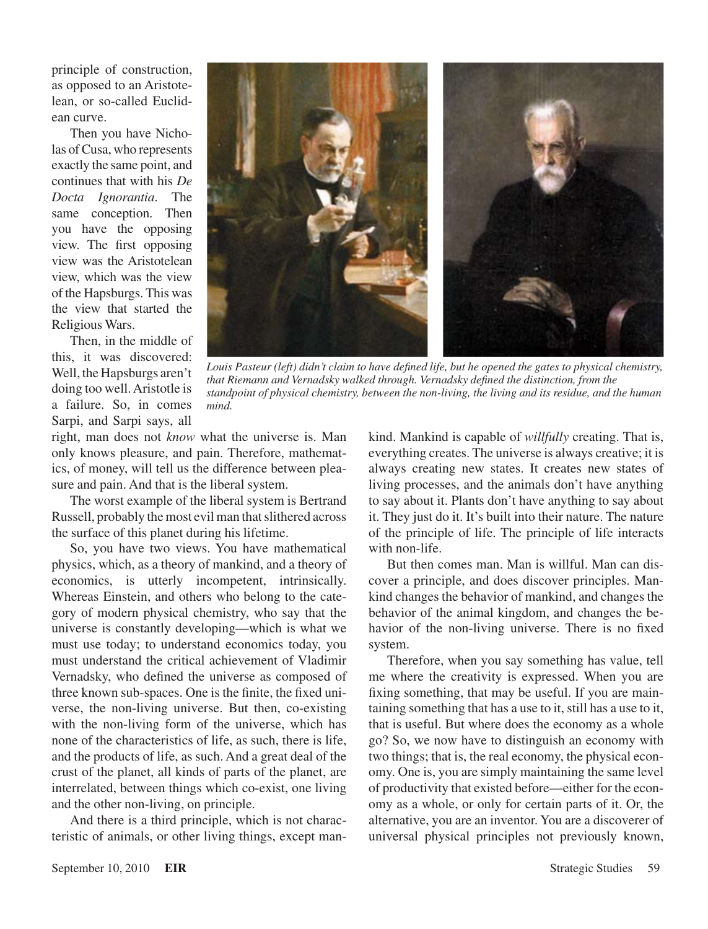principle of construction, as opposed to an Aristotelean, or so-called Euclidean curve.

Then you have Nicholas of Cusa, who represents exactly the same point, and continues that with his *De Docta Ignorantia*. The same conception. Then you have the opposing view. The first opposing view was the Aristotelean view, which was the view of the Hapsburgs. This was the view that started the Religious Wars.

Then, in the middle of this, it was discovered: Well, the Hapsburgs aren't doing too well. Aristotle is a failure. So, in comes Sarpi, and Sarpi says, all



*Louis Pasteur (left) didn't claim to have defined life, but he opened the gates to physical chemistry, that Riemann and Vernadsky walked through. Vernadsky defined the distinction, from the standpoint of physical chemistry, between the non-living, the living and its residue, and the human mind.*

right, man does not *know* what the universe is. Man only knows pleasure, and pain. Therefore, mathematics, of money, will tell us the difference between pleasure and pain. And that is the liberal system.

The worst example of the liberal system is Bertrand Russell, probably the most evil man that slithered across the surface of this planet during his lifetime.

So, you have two views. You have mathematical physics, which, as a theory of mankind, and a theory of economics, is utterly incompetent, intrinsically. Whereas Einstein, and others who belong to the category of modern physical chemistry, who say that the universe is constantly developing—which is what we must use today; to understand economics today, you must understand the critical achievement of Vladimir Vernadsky, who defined the universe as composed of three known sub-spaces. One is the finite, the fixed universe, the non-living universe. But then, co-existing with the non-living form of the universe, which has none of the characteristics of life, as such, there is life, and the products of life, as such. And a great deal of the crust of the planet, all kinds of parts of the planet, are interrelated, between things which co-exist, one living and the other non-living, on principle.

And there is a third principle, which is not characteristic of animals, or other living things, except mankind. Mankind is capable of *willfully* creating. That is, everything creates. The universe is always creative; it is always creating new states. It creates new states of living processes, and the animals don't have anything to say about it. Plants don't have anything to say about it. They just do it. It's built into their nature. The nature of the principle of life. The principle of life interacts with non-life.

But then comes man. Man is willful. Man can discover a principle, and does discover principles. Mankind changes the behavior of mankind, and changes the behavior of the animal kingdom, and changes the behavior of the non-living universe. There is no fixed system.

Therefore, when you say something has value, tell me where the creativity is expressed. When you are fixing something, that may be useful. If you are maintaining something that has a use to it, still has a use to it, that is useful. But where does the economy as a whole go? So, we now have to distinguish an economy with two things; that is, the real economy, the physical economy. One is, you are simply maintaining the same level of productivity that existed before—either for the economy as a whole, or only for certain parts of it. Or, the alternative, you are an inventor. You are a discoverer of universal physical principles not previously known,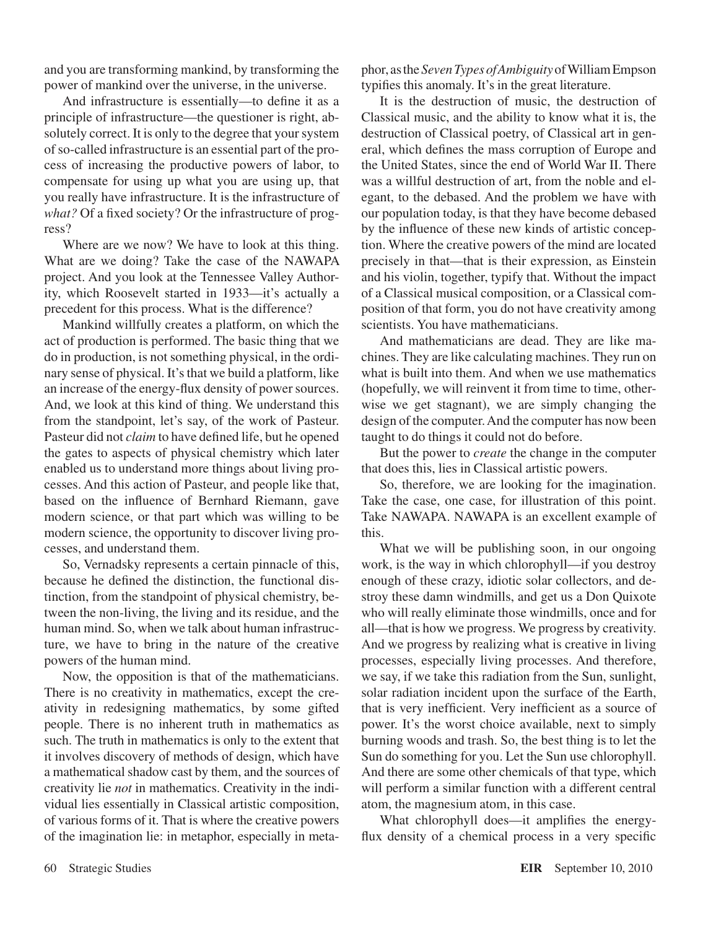and you are transforming mankind, by transforming the power of mankind over the universe, in the universe.

And infrastructure is essentially—to define it as a principle of infrastructure—the questioner is right, absolutely correct. It is only to the degree that your system of so-called infrastructure is an essential part of the process of increasing the productive powers of labor, to compensate for using up what you are using up, that you really have infrastructure. It is the infrastructure of *what?* Of a fixed society? Or the infrastructure of progress?

Where are we now? We have to look at this thing. What are we doing? Take the case of the NAWAPA project. And you look at the Tennessee Valley Authority, which Roosevelt started in 1933—it's actually a precedent for this process. What is the difference?

Mankind willfully creates a platform, on which the act of production is performed. The basic thing that we do in production, is not something physical, in the ordinary sense of physical. It's that we build a platform, like an increase of the energy-flux density of power sources. And, we look at this kind of thing. We understand this from the standpoint, let's say, of the work of Pasteur. Pasteur did not *claim* to have defined life, but he opened the gates to aspects of physical chemistry which later enabled us to understand more things about living processes. And this action of Pasteur, and people like that, based on the influence of Bernhard Riemann, gave modern science, or that part which was willing to be modern science, the opportunity to discover living processes, and understand them.

So, Vernadsky represents a certain pinnacle of this, because he defined the distinction, the functional distinction, from the standpoint of physical chemistry, between the non-living, the living and its residue, and the human mind. So, when we talk about human infrastructure, we have to bring in the nature of the creative powers of the human mind.

Now, the opposition is that of the mathematicians. There is no creativity in mathematics, except the creativity in redesigning mathematics, by some gifted people. There is no inherent truth in mathematics as such. The truth in mathematics is only to the extent that it involves discovery of methods of design, which have a mathematical shadow cast by them, and the sources of creativity lie *not* in mathematics. Creativity in the individual lies essentially in Classical artistic composition, of various forms of it. That is where the creative powers of the imagination lie: in metaphor, especially in metaphor, as the *Seven Types of Ambiguity* of William Empson typifies this anomaly. It's in the great literature.

It is the destruction of music, the destruction of Classical music, and the ability to know what it is, the destruction of Classical poetry, of Classical art in general, which defines the mass corruption of Europe and the United States, since the end of World War II. There was a willful destruction of art, from the noble and elegant, to the debased. And the problem we have with our population today, is that they have become debased by the influence of these new kinds of artistic conception. Where the creative powers of the mind are located precisely in that—that is their expression, as Einstein and his violin, together, typify that. Without the impact of a Classical musical composition, or a Classical composition of that form, you do not have creativity among scientists. You have mathematicians.

And mathematicians are dead. They are like machines. They are like calculating machines. They run on what is built into them. And when we use mathematics (hopefully, we will reinvent it from time to time, otherwise we get stagnant), we are simply changing the design of the computer. And the computer has now been taught to do things it could not do before.

But the power to *create* the change in the computer that does this, lies in Classical artistic powers.

So, therefore, we are looking for the imagination. Take the case, one case, for illustration of this point. Take NAWAPA. NAWAPA is an excellent example of this.

What we will be publishing soon, in our ongoing work, is the way in which chlorophyll—if you destroy enough of these crazy, idiotic solar collectors, and destroy these damn windmills, and get us a Don Quixote who will really eliminate those windmills, once and for all—that is how we progress. We progress by creativity. And we progress by realizing what is creative in living processes, especially living processes. And therefore, we say, if we take this radiation from the Sun, sunlight, solar radiation incident upon the surface of the Earth, that is very inefficient. Very inefficient as a source of power. It's the worst choice available, next to simply burning woods and trash. So, the best thing is to let the Sun do something for you. Let the Sun use chlorophyll. And there are some other chemicals of that type, which will perform a similar function with a different central atom, the magnesium atom, in this case.

What chlorophyll does—it amplifies the energyflux density of a chemical process in a very specific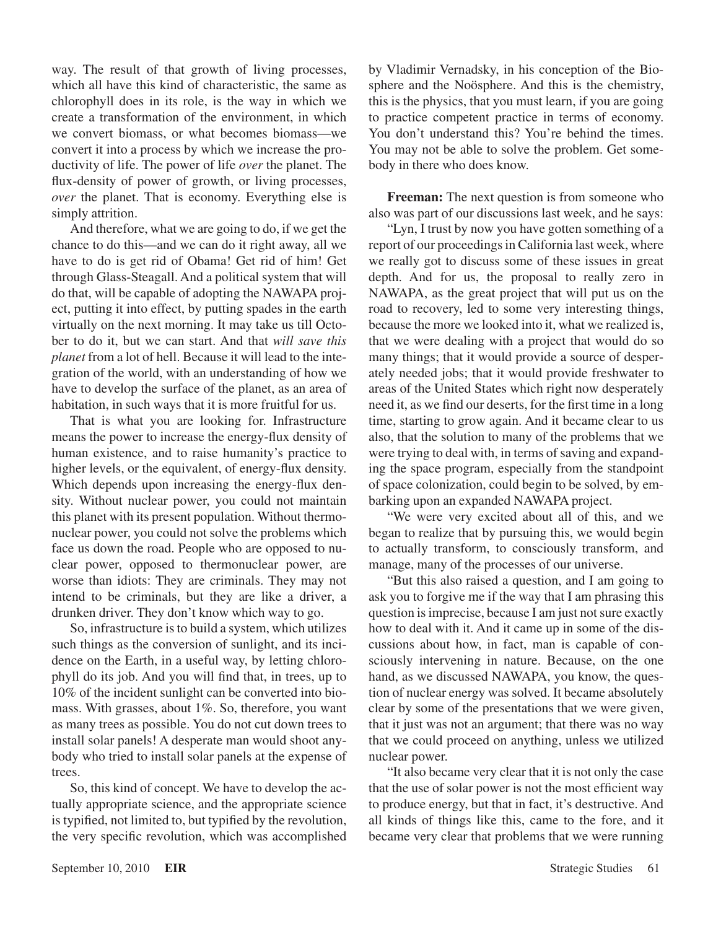way. The result of that growth of living processes, which all have this kind of characteristic, the same as chlorophyll does in its role, is the way in which we create a transformation of the environment, in which we convert biomass, or what becomes biomass—we convert it into a process by which we increase the productivity of life. The power of life *over* the planet. The flux-density of power of growth, or living processes, *over* the planet. That is economy. Everything else is simply attrition.

And therefore, what we are going to do, if we get the chance to do this—and we can do it right away, all we have to do is get rid of Obama! Get rid of him! Get through Glass-Steagall. And a political system that will do that, will be capable of adopting the NAWAPA project, putting it into effect, by putting spades in the earth virtually on the next morning. It may take us till October to do it, but we can start. And that *will save this planet* from a lot of hell. Because it will lead to the integration of the world, with an understanding of how we have to develop the surface of the planet, as an area of habitation, in such ways that it is more fruitful for us.

That is what you are looking for. Infrastructure means the power to increase the energy-flux density of human existence, and to raise humanity's practice to higher levels, or the equivalent, of energy-flux density. Which depends upon increasing the energy-flux density. Without nuclear power, you could not maintain this planet with its present population. Without thermonuclear power, you could not solve the problems which face us down the road. People who are opposed to nuclear power, opposed to thermonuclear power, are worse than idiots: They are criminals. They may not intend to be criminals, but they are like a driver, a drunken driver. They don't know which way to go.

So, infrastructure is to build a system, which utilizes such things as the conversion of sunlight, and its incidence on the Earth, in a useful way, by letting chlorophyll do its job. And you will find that, in trees, up to 10% of the incident sunlight can be converted into biomass. With grasses, about 1%. So, therefore, you want as many trees as possible. You do not cut down trees to install solar panels! A desperate man would shoot anybody who tried to install solar panels at the expense of trees.

So, this kind of concept. We have to develop the actually appropriate science, and the appropriate science is typified, not limited to, but typified by the revolution, the very specific revolution, which was accomplished

by Vladimir Vernadsky, in his conception of the Biosphere and the Noösphere. And this is the chemistry, this is the physics, that you must learn, if you are going to practice competent practice in terms of economy. You don't understand this? You're behind the times. You may not be able to solve the problem. Get somebody in there who does know.

**Freeman:** The next question is from someone who also was part of our discussions last week, and he says:

"Lyn, I trust by now you have gotten something of a report of our proceedings in California last week, where we really got to discuss some of these issues in great depth. And for us, the proposal to really zero in NAWAPA, as the great project that will put us on the road to recovery, led to some very interesting things, because the more we looked into it, what we realized is, that we were dealing with a project that would do so many things; that it would provide a source of desperately needed jobs; that it would provide freshwater to areas of the United States which right now desperately need it, as we find our deserts, for the first time in a long time, starting to grow again. And it became clear to us also, that the solution to many of the problems that we were trying to deal with, in terms of saving and expanding the space program, especially from the standpoint of space colonization, could begin to be solved, by embarking upon an expanded NAWAPA project.

"We were very excited about all of this, and we began to realize that by pursuing this, we would begin to actually transform, to consciously transform, and manage, many of the processes of our universe.

"But this also raised a question, and I am going to ask you to forgive me if the way that I am phrasing this question is imprecise, because I am just not sure exactly how to deal with it. And it came up in some of the discussions about how, in fact, man is capable of consciously intervening in nature. Because, on the one hand, as we discussed NAWAPA, you know, the question of nuclear energy was solved. It became absolutely clear by some of the presentations that we were given, that it just was not an argument; that there was no way that we could proceed on anything, unless we utilized nuclear power.

"It also became very clear that it is not only the case that the use of solar power is not the most efficient way to produce energy, but that in fact, it's destructive. And all kinds of things like this, came to the fore, and it became very clear that problems that we were running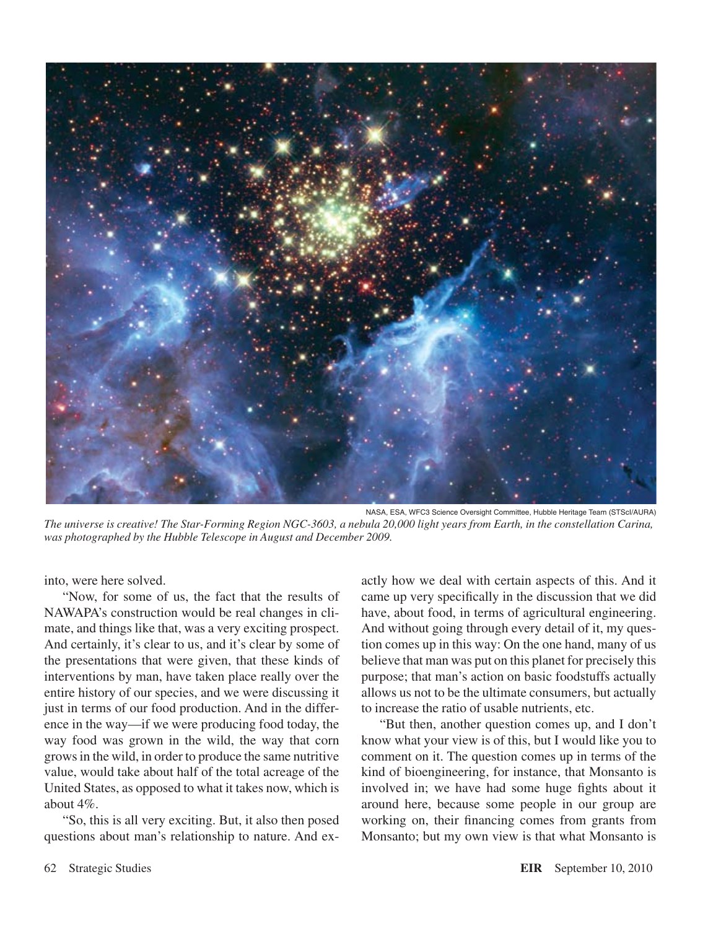

NASA, ESA, WFC3 Science Oversight Committee, Hubble Heritage Team (STScI/AURA) *The universe is creative! The Star-Forming Region NGC-3603, a nebula 20,000 light years from Earth, in the constellation Carina, was photographed by the Hubble Telescope in August and December 2009.*

into, were here solved.

"Now, for some of us, the fact that the results of NAWAPA's construction would be real changes in climate, and things like that, was a very exciting prospect. And certainly, it's clear to us, and it's clear by some of the presentations that were given, that these kinds of interventions by man, have taken place really over the entire history of our species, and we were discussing it just in terms of our food production. And in the difference in the way—if we were producing food today, the way food was grown in the wild, the way that corn grows in the wild, in order to produce the same nutritive value, would take about half of the total acreage of the United States, as opposed to what it takes now, which is about 4%.

"So, this is all very exciting. But, it also then posed questions about man's relationship to nature. And ex-

actly how we deal with certain aspects of this. And it came up very specifically in the discussion that we did have, about food, in terms of agricultural engineering. And without going through every detail of it, my question comes up in this way: On the one hand, many of us believe that man was put on this planet for precisely this purpose; that man's action on basic foodstuffs actually allows us not to be the ultimate consumers, but actually to increase the ratio of usable nutrients, etc.

"But then, another question comes up, and I don't know what your view is of this, but I would like you to comment on it. The question comes up in terms of the kind of bioengineering, for instance, that Monsanto is involved in; we have had some huge fights about it around here, because some people in our group are working on, their financing comes from grants from Monsanto; but my own view is that what Monsanto is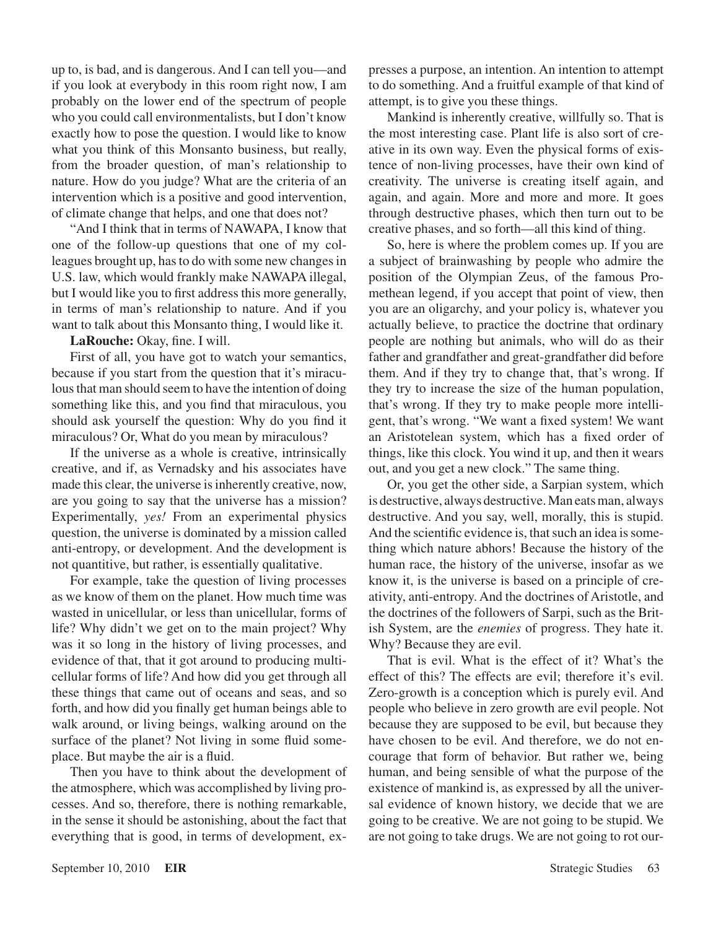up to, is bad, and is dangerous. And I can tell you—and if you look at everybody in this room right now, I am probably on the lower end of the spectrum of people who you could call environmentalists, but I don't know exactly how to pose the question. I would like to know what you think of this Monsanto business, but really, from the broader question, of man's relationship to nature. How do you judge? What are the criteria of an intervention which is a positive and good intervention, of climate change that helps, and one that does not?

"And I think that in terms of NAWAPA, I know that one of the follow-up questions that one of my colleagues brought up, has to do with some new changes in U.S. law, which would frankly make NAWAPA illegal, but I would like you to first address this more generally, in terms of man's relationship to nature. And if you want to talk about this Monsanto thing, I would like it.

**LaRouche:** Okay, fine. I will.

First of all, you have got to watch your semantics, because if you start from the question that it's miraculous that man should seem to have the intention of doing something like this, and you find that miraculous, you should ask yourself the question: Why do you find it miraculous? Or, What do you mean by miraculous?

If the universe as a whole is creative, intrinsically creative, and if, as Vernadsky and his associates have made this clear, the universe is inherently creative, now, are you going to say that the universe has a mission? Experimentally, *yes!* From an experimental physics question, the universe is dominated by a mission called anti-entropy, or development. And the development is not quantitive, but rather, is essentially qualitative.

For example, take the question of living processes as we know of them on the planet. How much time was wasted in unicellular, or less than unicellular, forms of life? Why didn't we get on to the main project? Why was it so long in the history of living processes, and evidence of that, that it got around to producing multicellular forms of life? And how did you get through all these things that came out of oceans and seas, and so forth, and how did you finally get human beings able to walk around, or living beings, walking around on the surface of the planet? Not living in some fluid someplace. But maybe the air is a fluid.

Then you have to think about the development of the atmosphere, which was accomplished by living processes. And so, therefore, there is nothing remarkable, in the sense it should be astonishing, about the fact that everything that is good, in terms of development, expresses a purpose, an intention. An intention to attempt to do something. And a fruitful example of that kind of attempt, is to give you these things.

Mankind is inherently creative, willfully so. That is the most interesting case. Plant life is also sort of creative in its own way. Even the physical forms of existence of non-living processes, have their own kind of creativity. The universe is creating itself again, and again, and again. More and more and more. It goes through destructive phases, which then turn out to be creative phases, and so forth—all this kind of thing.

So, here is where the problem comes up. If you are a subject of brainwashing by people who admire the position of the Olympian Zeus, of the famous Promethean legend, if you accept that point of view, then you are an oligarchy, and your policy is, whatever you actually believe, to practice the doctrine that ordinary people are nothing but animals, who will do as their father and grandfather and great-grandfather did before them. And if they try to change that, that's wrong. If they try to increase the size of the human population, that's wrong. If they try to make people more intelligent, that's wrong. "We want a fixed system! We want an Aristotelean system, which has a fixed order of things, like this clock. You wind it up, and then it wears out, and you get a new clock." The same thing.

Or, you get the other side, a Sarpian system, which is destructive, always destructive. Man eats man, always destructive. And you say, well, morally, this is stupid. And the scientific evidence is, that such an idea is something which nature abhors! Because the history of the human race, the history of the universe, insofar as we know it, is the universe is based on a principle of creativity, anti-entropy. And the doctrines of Aristotle, and the doctrines of the followers of Sarpi, such as the British System, are the *enemies* of progress. They hate it. Why? Because they are evil.

That is evil. What is the effect of it? What's the effect of this? The effects are evil; therefore it's evil. Zero-growth is a conception which is purely evil. And people who believe in zero growth are evil people. Not because they are supposed to be evil, but because they have chosen to be evil. And therefore, we do not encourage that form of behavior. But rather we, being human, and being sensible of what the purpose of the existence of mankind is, as expressed by all the universal evidence of known history, we decide that we are going to be creative. We are not going to be stupid. We are not going to take drugs. We are not going to rot our-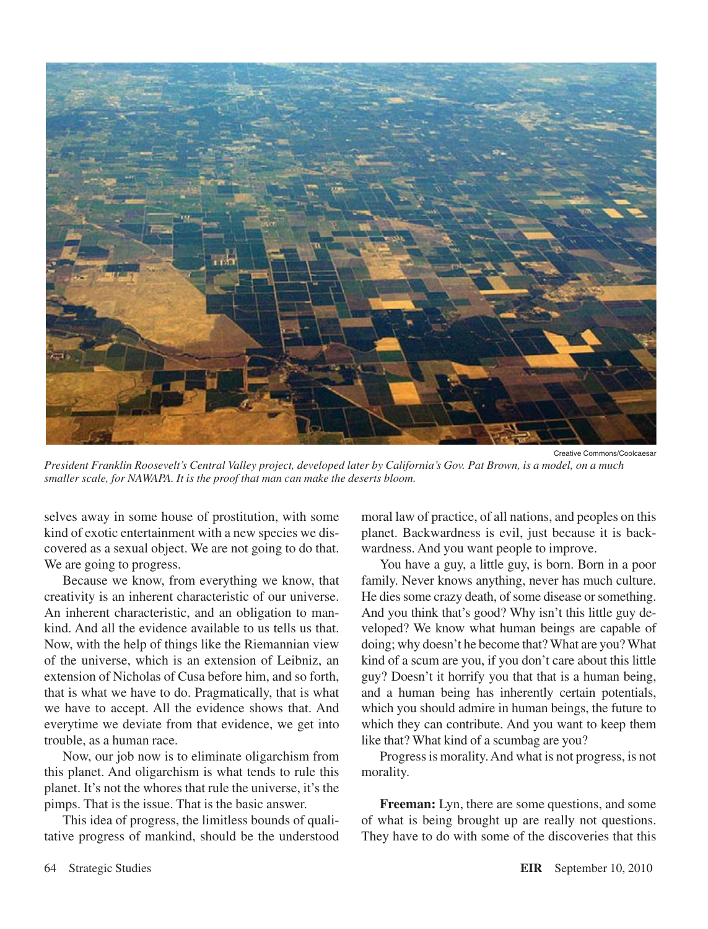

Creative Commons/Coolcaesar *President Franklin Roosevelt's Central Valley project, developed later by California's Gov. Pat Brown, is a model, on a much smaller scale, for NAWAPA. It is the proof that man can make the deserts bloom.*

selves away in some house of prostitution, with some kind of exotic entertainment with a new species we discovered as a sexual object. We are not going to do that. We are going to progress.

Because we know, from everything we know, that creativity is an inherent characteristic of our universe. An inherent characteristic, and an obligation to mankind. And all the evidence available to us tells us that. Now, with the help of things like the Riemannian view of the universe, which is an extension of Leibniz, an extension of Nicholas of Cusa before him, and so forth, that is what we have to do. Pragmatically, that is what we have to accept. All the evidence shows that. And everytime we deviate from that evidence, we get into trouble, as a human race.

Now, our job now is to eliminate oligarchism from this planet. And oligarchism is what tends to rule this planet. It's not the whores that rule the universe, it's the pimps. That is the issue. That is the basic answer.

This idea of progress, the limitless bounds of qualitative progress of mankind, should be the understood

moral law of practice, of all nations, and peoples on this planet. Backwardness is evil, just because it is backwardness. And you want people to improve.

You have a guy, a little guy, is born. Born in a poor family. Never knows anything, never has much culture. He dies some crazy death, of some disease or something. And you think that's good? Why isn't this little guy developed? We know what human beings are capable of doing; why doesn't he become that? What are you? What kind of a scum are you, if you don't care about this little guy? Doesn't it horrify you that that is a human being, and a human being has inherently certain potentials, which you should admire in human beings, the future to which they can contribute. And you want to keep them like that? What kind of a scumbag are you?

Progress is morality. And what is not progress, is not morality.

**Freeman:** Lyn, there are some questions, and some of what is being brought up are really not questions. They have to do with some of the discoveries that this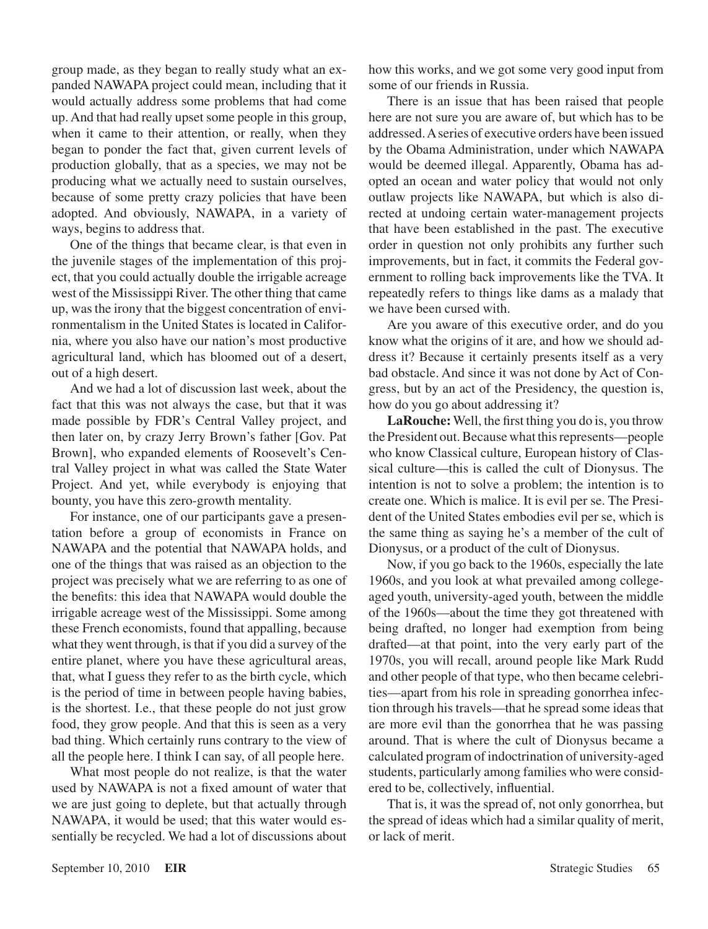group made, as they began to really study what an expanded NAWAPA project could mean, including that it would actually address some problems that had come up. And that had really upset some people in this group, when it came to their attention, or really, when they began to ponder the fact that, given current levels of production globally, that as a species, we may not be producing what we actually need to sustain ourselves, because of some pretty crazy policies that have been adopted. And obviously, NAWAPA, in a variety of ways, begins to address that.

One of the things that became clear, is that even in the juvenile stages of the implementation of this project, that you could actually double the irrigable acreage west of the Mississippi River. The other thing that came up, was the irony that the biggest concentration of environmentalism in the United States is located in California, where you also have our nation's most productive agricultural land, which has bloomed out of a desert, out of a high desert.

And we had a lot of discussion last week, about the fact that this was not always the case, but that it was made possible by FDR's Central Valley project, and then later on, by crazy Jerry Brown's father [Gov. Pat Brown], who expanded elements of Roosevelt's Central Valley project in what was called the State Water Project. And yet, while everybody is enjoying that bounty, you have this zero-growth mentality.

For instance, one of our participants gave a presentation before a group of economists in France on NAWAPA and the potential that NAWAPA holds, and one of the things that was raised as an objection to the project was precisely what we are referring to as one of the benefits: this idea that NAWAPA would double the irrigable acreage west of the Mississippi. Some among these French economists, found that appalling, because what they went through, is that if you did a survey of the entire planet, where you have these agricultural areas, that, what I guess they refer to as the birth cycle, which is the period of time in between people having babies, is the shortest. I.e., that these people do not just grow food, they grow people. And that this is seen as a very bad thing. Which certainly runs contrary to the view of all the people here. I think I can say, of all people here.

What most people do not realize, is that the water used by NAWAPA is not a fixed amount of water that we are just going to deplete, but that actually through NAWAPA, it would be used; that this water would essentially be recycled. We had a lot of discussions about how this works, and we got some very good input from some of our friends in Russia.

There is an issue that has been raised that people here are not sure you are aware of, but which has to be addressed. A series of executive orders have been issued by the Obama Administration, under which NAWAPA would be deemed illegal. Apparently, Obama has adopted an ocean and water policy that would not only outlaw projects like NAWAPA, but which is also directed at undoing certain water-management projects that have been established in the past. The executive order in question not only prohibits any further such improvements, but in fact, it commits the Federal government to rolling back improvements like the TVA. It repeatedly refers to things like dams as a malady that we have been cursed with.

Are you aware of this executive order, and do you know what the origins of it are, and how we should address it? Because it certainly presents itself as a very bad obstacle. And since it was not done by Act of Congress, but by an act of the Presidency, the question is, how do you go about addressing it?

**LaRouche:** Well, the first thing you do is, you throw the President out. Because what this represents—people who know Classical culture, European history of Classical culture—this is called the cult of Dionysus. The intention is not to solve a problem; the intention is to create one. Which is malice. It is evil per se. The President of the United States embodies evil per se, which is the same thing as saying he's a member of the cult of Dionysus, or a product of the cult of Dionysus.

Now, if you go back to the 1960s, especially the late 1960s, and you look at what prevailed among collegeaged youth, university-aged youth, between the middle of the 1960s—about the time they got threatened with being drafted, no longer had exemption from being drafted—at that point, into the very early part of the 1970s, you will recall, around people like Mark Rudd and other people of that type, who then became celebrities—apart from his role in spreading gonorrhea infection through his travels—that he spread some ideas that are more evil than the gonorrhea that he was passing around. That is where the cult of Dionysus became a calculated program of indoctrination of university-aged students, particularly among families who were considered to be, collectively, influential.

That is, it was the spread of, not only gonorrhea, but the spread of ideas which had a similar quality of merit, or lack of merit.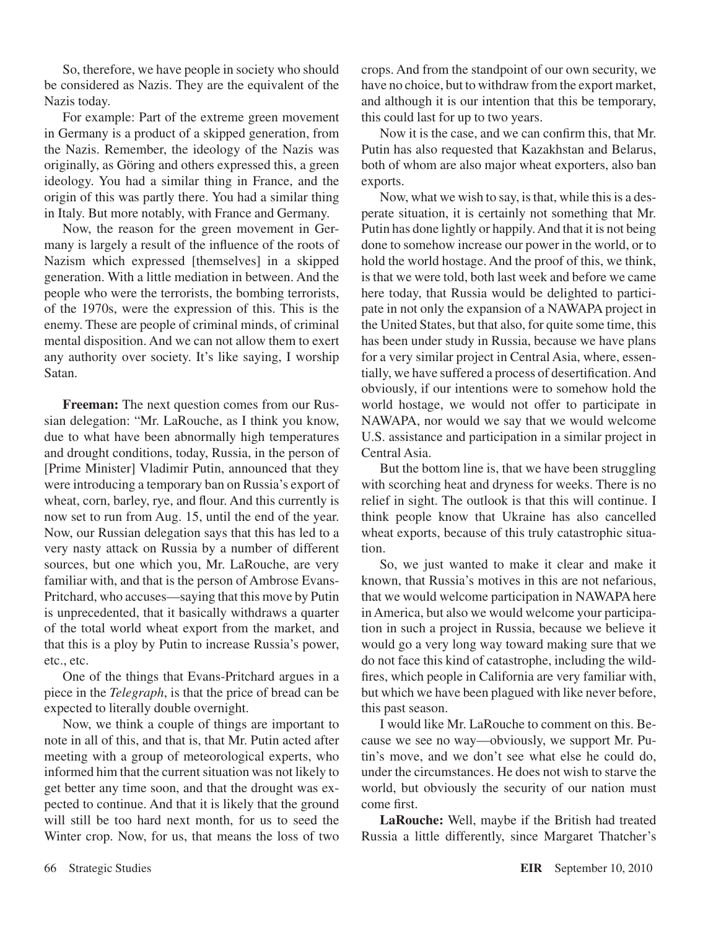So, therefore, we have people in society who should be considered as Nazis. They are the equivalent of the Nazis today.

For example: Part of the extreme green movement in Germany is a product of a skipped generation, from the Nazis. Remember, the ideology of the Nazis was originally, as Göring and others expressed this, a green ideology. You had a similar thing in France, and the origin of this was partly there. You had a similar thing in Italy. But more notably, with France and Germany.

Now, the reason for the green movement in Germany is largely a result of the influence of the roots of Nazism which expressed [themselves] in a skipped generation. With a little mediation in between. And the people who were the terrorists, the bombing terrorists, of the 1970s, were the expression of this. This is the enemy. These are people of criminal minds, of criminal mental disposition. And we can not allow them to exert any authority over society. It's like saying, I worship Satan.

**Freeman:** The next question comes from our Russian delegation: "Mr. LaRouche, as I think you know, due to what have been abnormally high temperatures and drought conditions, today, Russia, in the person of [Prime Minister] Vladimir Putin, announced that they were introducing a temporary ban on Russia's export of wheat, corn, barley, rye, and flour. And this currently is now set to run from Aug. 15, until the end of the year. Now, our Russian delegation says that this has led to a very nasty attack on Russia by a number of different sources, but one which you, Mr. LaRouche, are very familiar with, and that is the person of Ambrose Evans-Pritchard, who accuses—saying that this move by Putin is unprecedented, that it basically withdraws a quarter of the total world wheat export from the market, and that this is a ploy by Putin to increase Russia's power, etc., etc.

One of the things that Evans-Pritchard argues in a piece in the *Telegraph*, is that the price of bread can be expected to literally double overnight.

Now, we think a couple of things are important to note in all of this, and that is, that Mr. Putin acted after meeting with a group of meteorological experts, who informed him that the current situation was not likely to get better any time soon, and that the drought was expected to continue. And that it is likely that the ground will still be too hard next month, for us to seed the Winter crop. Now, for us, that means the loss of two crops. And from the standpoint of our own security, we have no choice, but to withdraw from the export market, and although it is our intention that this be temporary, this could last for up to two years.

Now it is the case, and we can confirm this, that Mr. Putin has also requested that Kazakhstan and Belarus, both of whom are also major wheat exporters, also ban exports.

Now, what we wish to say, is that, while this is a desperate situation, it is certainly not something that Mr. Putin has done lightly or happily. And that it is not being done to somehow increase our power in the world, or to hold the world hostage. And the proof of this, we think, is that we were told, both last week and before we came here today, that Russia would be delighted to participate in not only the expansion of a NAWAPA project in the United States, but that also, for quite some time, this has been under study in Russia, because we have plans for a very similar project in Central Asia, where, essentially, we have suffered a process of desertification. And obviously, if our intentions were to somehow hold the world hostage, we would not offer to participate in NAWAPA, nor would we say that we would welcome U.S. assistance and participation in a similar project in Central Asia.

But the bottom line is, that we have been struggling with scorching heat and dryness for weeks. There is no relief in sight. The outlook is that this will continue. I think people know that Ukraine has also cancelled wheat exports, because of this truly catastrophic situation.

So, we just wanted to make it clear and make it known, that Russia's motives in this are not nefarious, that we would welcome participation in NAWAPA here in America, but also we would welcome your participation in such a project in Russia, because we believe it would go a very long way toward making sure that we do not face this kind of catastrophe, including the wildfires, which people in California are very familiar with, but which we have been plagued with like never before, this past season.

I would like Mr. LaRouche to comment on this. Because we see no way—obviously, we support Mr. Putin's move, and we don't see what else he could do, under the circumstances. He does not wish to starve the world, but obviously the security of our nation must come first.

**LaRouche:** Well, maybe if the British had treated Russia a little differently, since Margaret Thatcher's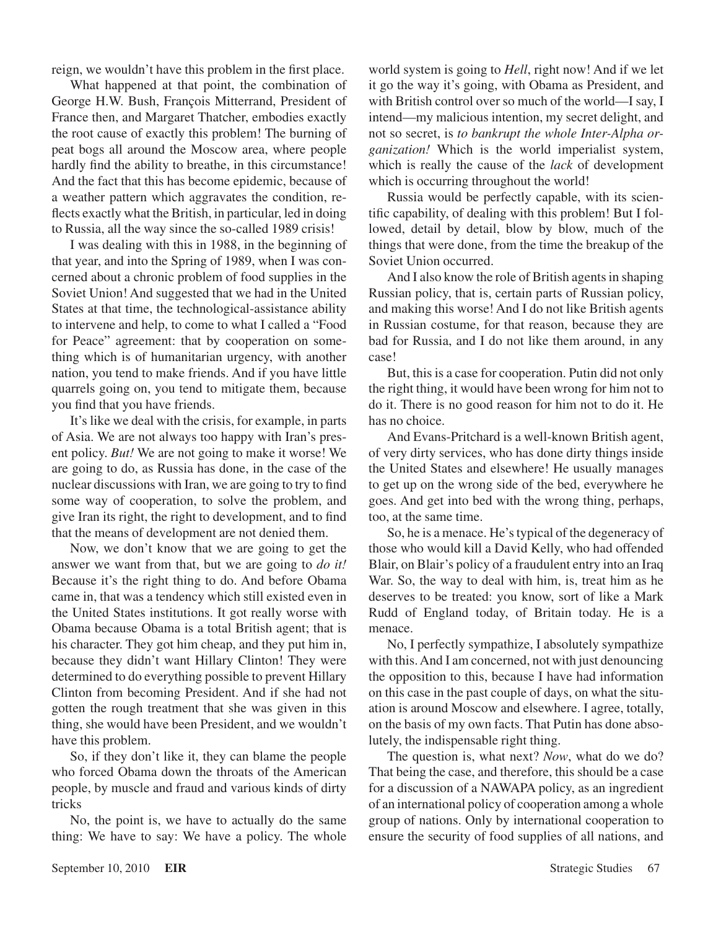reign, we wouldn't have this problem in the first place.

What happened at that point, the combination of George H.W. Bush, François Mitterrand, President of France then, and Margaret Thatcher, embodies exactly the root cause of exactly this problem! The burning of peat bogs all around the Moscow area, where people hardly find the ability to breathe, in this circumstance! And the fact that this has become epidemic, because of a weather pattern which aggravates the condition, reflects exactly what the British, in particular, led in doing to Russia, all the way since the so-called 1989 crisis!

I was dealing with this in 1988, in the beginning of that year, and into the Spring of 1989, when I was concerned about a chronic problem of food supplies in the Soviet Union! And suggested that we had in the United States at that time, the technological-assistance ability to intervene and help, to come to what I called a "Food for Peace" agreement: that by cooperation on something which is of humanitarian urgency, with another nation, you tend to make friends. And if you have little quarrels going on, you tend to mitigate them, because you find that you have friends.

It's like we deal with the crisis, for example, in parts of Asia. We are not always too happy with Iran's present policy. *But!* We are not going to make it worse! We are going to do, as Russia has done, in the case of the nuclear discussions with Iran, we are going to try to find some way of cooperation, to solve the problem, and give Iran its right, the right to development, and to find that the means of development are not denied them.

Now, we don't know that we are going to get the answer we want from that, but we are going to *do it!* Because it's the right thing to do. And before Obama came in, that was a tendency which still existed even in the United States institutions. It got really worse with Obama because Obama is a total British agent; that is his character. They got him cheap, and they put him in, because they didn't want Hillary Clinton! They were determined to do everything possible to prevent Hillary Clinton from becoming President. And if she had not gotten the rough treatment that she was given in this thing, she would have been President, and we wouldn't have this problem.

So, if they don't like it, they can blame the people who forced Obama down the throats of the American people, by muscle and fraud and various kinds of dirty tricks

No, the point is, we have to actually do the same thing: We have to say: We have a policy. The whole world system is going to *Hell*, right now! And if we let it go the way it's going, with Obama as President, and with British control over so much of the world—I say, I intend—my malicious intention, my secret delight, and not so secret, is *to bankrupt the whole Inter-Alpha organization!* Which is the world imperialist system, which is really the cause of the *lack* of development which is occurring throughout the world!

Russia would be perfectly capable, with its scientific capability, of dealing with this problem! But I followed, detail by detail, blow by blow, much of the things that were done, from the time the breakup of the Soviet Union occurred.

And I also know the role of British agents in shaping Russian policy, that is, certain parts of Russian policy, and making this worse! And I do not like British agents in Russian costume, for that reason, because they are bad for Russia, and I do not like them around, in any case!

But, this is a case for cooperation. Putin did not only the right thing, it would have been wrong for him not to do it. There is no good reason for him not to do it. He has no choice.

And Evans-Pritchard is a well-known British agent, of very dirty services, who has done dirty things inside the United States and elsewhere! He usually manages to get up on the wrong side of the bed, everywhere he goes. And get into bed with the wrong thing, perhaps, too, at the same time.

So, he is a menace. He's typical of the degeneracy of those who would kill a David Kelly, who had offended Blair, on Blair's policy of a fraudulent entry into an Iraq War. So, the way to deal with him, is, treat him as he deserves to be treated: you know, sort of like a Mark Rudd of England today, of Britain today. He is a menace.

No, I perfectly sympathize, I absolutely sympathize with this. And I am concerned, not with just denouncing the opposition to this, because I have had information on this case in the past couple of days, on what the situation is around Moscow and elsewhere. I agree, totally, on the basis of my own facts. That Putin has done absolutely, the indispensable right thing.

The question is, what next? *Now*, what do we do? That being the case, and therefore, this should be a case for a discussion of a NAWAPA policy, as an ingredient of an international policy of cooperation among a whole group of nations. Only by international cooperation to ensure the security of food supplies of all nations, and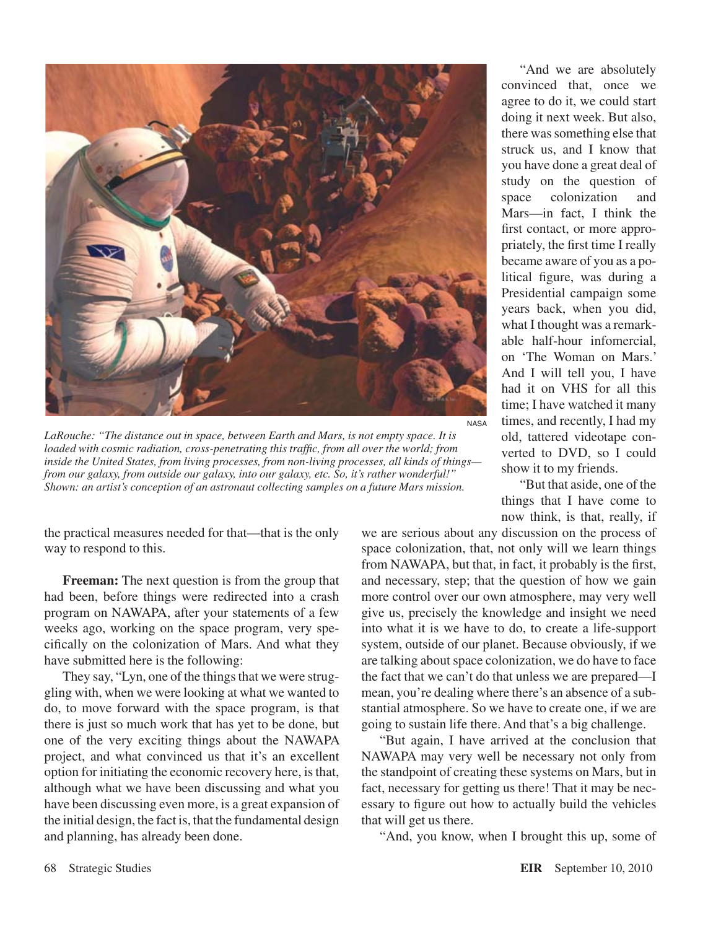

*LaRouche: "The distance out in space, between Earth and Mars, is not empty space. It is loaded with cosmic radiation, cross-penetrating this traffic, from all over the world; from inside the United States, from living processes, from non-living processes, all kinds of things from our galaxy, from outside our galaxy, into our galaxy, etc. So, it's rather wonderful!" Shown: an artist's conception of an astronaut collecting samples on a future Mars mission.*

the practical measures needed for that—that is the only way to respond to this.

**Freeman:** The next question is from the group that had been, before things were redirected into a crash program on NAWAPA, after your statements of a few weeks ago, working on the space program, very specifically on the colonization of Mars. And what they have submitted here is the following:

They say, "Lyn, one of the things that we were struggling with, when we were looking at what we wanted to do, to move forward with the space program, is that there is just so much work that has yet to be done, but one of the very exciting things about the NAWAPA project, and what convinced us that it's an excellent option for initiating the economic recovery here, is that, although what we have been discussing and what you have been discussing even more, is a great expansion of the initial design, the fact is, that the fundamental design and planning, has already been done.

"And we are absolutely convinced that, once we agree to do it, we could start doing it next week. But also, there was something else that struck us, and I know that you have done a great deal of study on the question of space colonization and Mars—in fact, I think the first contact, or more appropriately, the first time I really became aware of you as a political figure, was during a Presidential campaign some years back, when you did, what I thought was a remarkable half-hour infomercial, on 'The Woman on Mars.' And I will tell you, I have had it on VHS for all this time; I have watched it many times, and recently, I had my old, tattered videotape converted to DVD, so I could show it to my friends.

"But that aside, one of the things that I have come to now think, is that, really, if

we are serious about any discussion on the process of space colonization, that, not only will we learn things from NAWAPA, but that, in fact, it probably is the first, and necessary, step; that the question of how we gain more control over our own atmosphere, may very well give us, precisely the knowledge and insight we need into what it is we have to do, to create a life-support system, outside of our planet. Because obviously, if we are talking about space colonization, we do have to face the fact that we can't do that unless we are prepared—I mean, you're dealing where there's an absence of a substantial atmosphere. So we have to create one, if we are going to sustain life there. And that's a big challenge.

"But again, I have arrived at the conclusion that NAWAPA may very well be necessary not only from the standpoint of creating these systems on Mars, but in fact, necessary for getting us there! That it may be necessary to figure out how to actually build the vehicles that will get us there.

"And, you know, when I brought this up, some of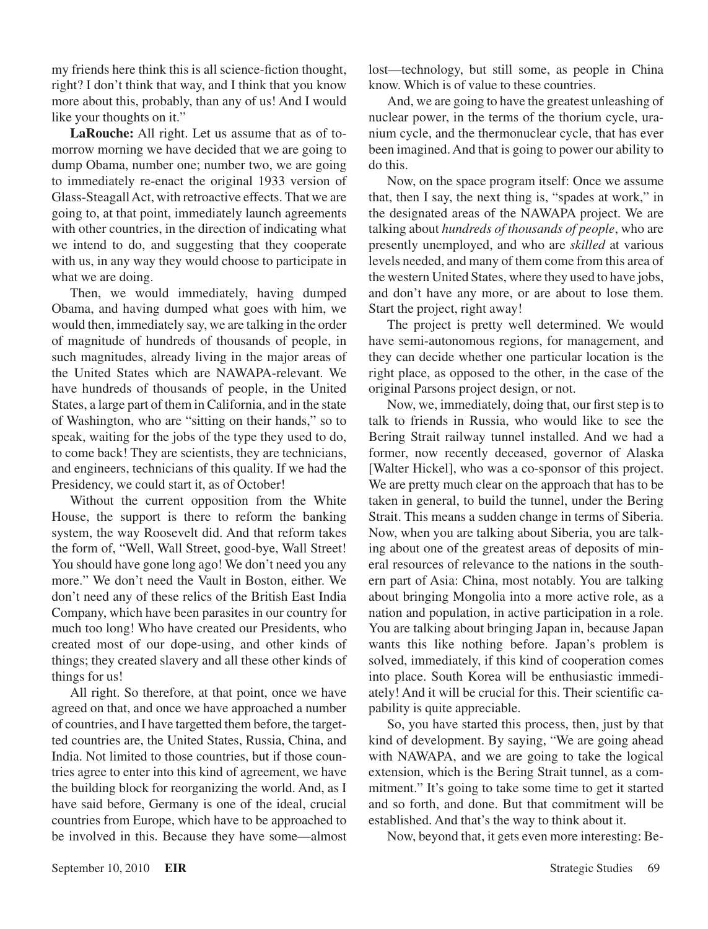my friends here think this is all science-fiction thought, right? I don't think that way, and I think that you know more about this, probably, than any of us! And I would like your thoughts on it."

**LaRouche:** All right. Let us assume that as of tomorrow morning we have decided that we are going to dump Obama, number one; number two, we are going to immediately re-enact the original 1933 version of Glass-Steagall Act, with retroactive effects. That we are going to, at that point, immediately launch agreements with other countries, in the direction of indicating what we intend to do, and suggesting that they cooperate with us, in any way they would choose to participate in what we are doing.

Then, we would immediately, having dumped Obama, and having dumped what goes with him, we would then, immediately say, we are talking in the order of magnitude of hundreds of thousands of people, in such magnitudes, already living in the major areas of the United States which are NAWAPA-relevant. We have hundreds of thousands of people, in the United States, a large part of them in California, and in the state of Washington, who are "sitting on their hands," so to speak, waiting for the jobs of the type they used to do, to come back! They are scientists, they are technicians, and engineers, technicians of this quality. If we had the Presidency, we could start it, as of October!

Without the current opposition from the White House, the support is there to reform the banking system, the way Roosevelt did. And that reform takes the form of, "Well, Wall Street, good-bye, Wall Street! You should have gone long ago! We don't need you any more." We don't need the Vault in Boston, either. We don't need any of these relics of the British East India Company, which have been parasites in our country for much too long! Who have created our Presidents, who created most of our dope-using, and other kinds of things; they created slavery and all these other kinds of things for us!

All right. So therefore, at that point, once we have agreed on that, and once we have approached a number of countries, and I have targetted them before, the targetted countries are, the United States, Russia, China, and India. Not limited to those countries, but if those countries agree to enter into this kind of agreement, we have the building block for reorganizing the world. And, as I have said before, Germany is one of the ideal, crucial countries from Europe, which have to be approached to be involved in this. Because they have some—almost lost—technology, but still some, as people in China know. Which is of value to these countries.

And, we are going to have the greatest unleashing of nuclear power, in the terms of the thorium cycle, uranium cycle, and the thermonuclear cycle, that has ever been imagined. And that is going to power our ability to do this.

Now, on the space program itself: Once we assume that, then I say, the next thing is, "spades at work," in the designated areas of the NAWAPA project. We are talking about *hundreds of thousands of people*, who are presently unemployed, and who are *skilled* at various levels needed, and many of them come from this area of the western United States, where they used to have jobs, and don't have any more, or are about to lose them. Start the project, right away!

The project is pretty well determined. We would have semi-autonomous regions, for management, and they can decide whether one particular location is the right place, as opposed to the other, in the case of the original Parsons project design, or not.

Now, we, immediately, doing that, our first step is to talk to friends in Russia, who would like to see the Bering Strait railway tunnel installed. And we had a former, now recently deceased, governor of Alaska [Walter Hickel], who was a co-sponsor of this project. We are pretty much clear on the approach that has to be taken in general, to build the tunnel, under the Bering Strait. This means a sudden change in terms of Siberia. Now, when you are talking about Siberia, you are talking about one of the greatest areas of deposits of mineral resources of relevance to the nations in the southern part of Asia: China, most notably. You are talking about bringing Mongolia into a more active role, as a nation and population, in active participation in a role. You are talking about bringing Japan in, because Japan wants this like nothing before. Japan's problem is solved, immediately, if this kind of cooperation comes into place. South Korea will be enthusiastic immediately! And it will be crucial for this. Their scientific capability is quite appreciable.

So, you have started this process, then, just by that kind of development. By saying, "We are going ahead with NAWAPA, and we are going to take the logical extension, which is the Bering Strait tunnel, as a commitment." It's going to take some time to get it started and so forth, and done. But that commitment will be established. And that's the way to think about it.

Now, beyond that, it gets even more interesting: Be-